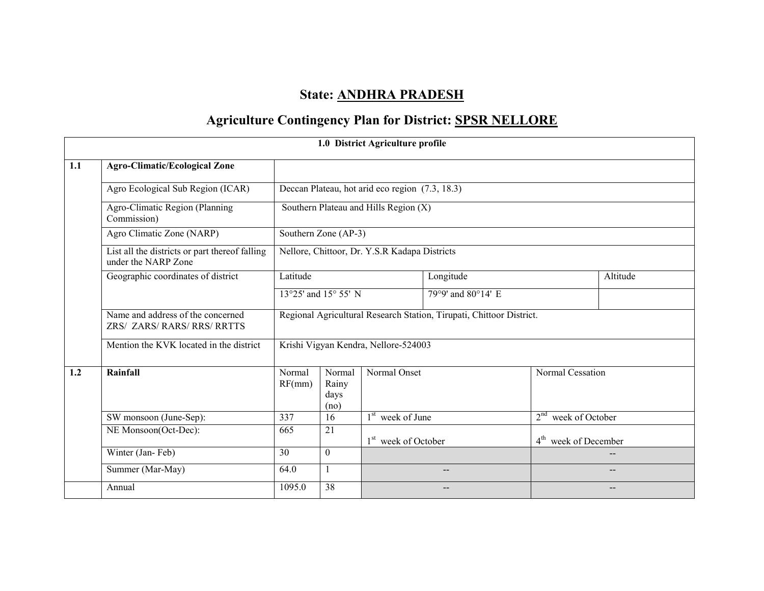# State: ANDHRA PRADESH

# Agriculture Contingency Plan for District: **SPSR NELLORE**

|     |                                                                       |                                                                      |                                 | 1.0 District Agriculture profile                |                    |                                    |          |  |
|-----|-----------------------------------------------------------------------|----------------------------------------------------------------------|---------------------------------|-------------------------------------------------|--------------------|------------------------------------|----------|--|
| 1.1 | <b>Agro-Climatic/Ecological Zone</b>                                  |                                                                      |                                 |                                                 |                    |                                    |          |  |
|     | Agro Ecological Sub Region (ICAR)                                     |                                                                      |                                 | Deccan Plateau, hot arid eco region (7.3, 18.3) |                    |                                    |          |  |
|     | Agro-Climatic Region (Planning<br>Commission)                         |                                                                      |                                 | Southern Plateau and Hills Region (X)           |                    |                                    |          |  |
|     | Agro Climatic Zone (NARP)                                             | Southern Zone (AP-3)                                                 |                                 |                                                 |                    |                                    |          |  |
|     | List all the districts or part thereof falling<br>under the NARP Zone |                                                                      |                                 | Nellore, Chittoor, Dr. Y.S.R Kadapa Districts   |                    |                                    |          |  |
|     | Geographic coordinates of district                                    | Latitude                                                             | Longitude                       |                                                 |                    |                                    | Altitude |  |
|     |                                                                       | 13°25' and 15° 55' N                                                 |                                 |                                                 | 79°9' and 80°14' E |                                    |          |  |
|     | Name and address of the concerned<br>ZRS/ ZARS/ RARS/ RRS/ RRTTS      | Regional Agricultural Research Station, Tirupati, Chittoor District. |                                 |                                                 |                    |                                    |          |  |
|     | Mention the KVK located in the district                               | Krishi Vigyan Kendra, Nellore-524003                                 |                                 |                                                 |                    |                                    |          |  |
| 1.2 | Rainfall                                                              | Normal<br>RF(mm)                                                     | Normal<br>Rainy<br>days<br>(no) | Normal Onset                                    |                    | Normal Cessation                   |          |  |
|     | SW monsoon (June-Sep):                                                | 337                                                                  | 16                              | $1st$ week of June                              |                    | 2 <sup>nd</sup><br>week of October |          |  |
|     | NE Monsoon(Oct-Dec):                                                  | 665                                                                  | 21                              | 1 <sup>st</sup> week of October                 |                    | 4 <sup>th</sup> week of December   |          |  |
|     | Winter (Jan-Feb)                                                      | 30                                                                   | $\Omega$                        |                                                 |                    |                                    |          |  |
|     | Summer (Mar-May)                                                      | 64.0                                                                 |                                 |                                                 | --                 |                                    |          |  |
|     | Annual                                                                | 1095.0                                                               | 38                              |                                                 |                    |                                    |          |  |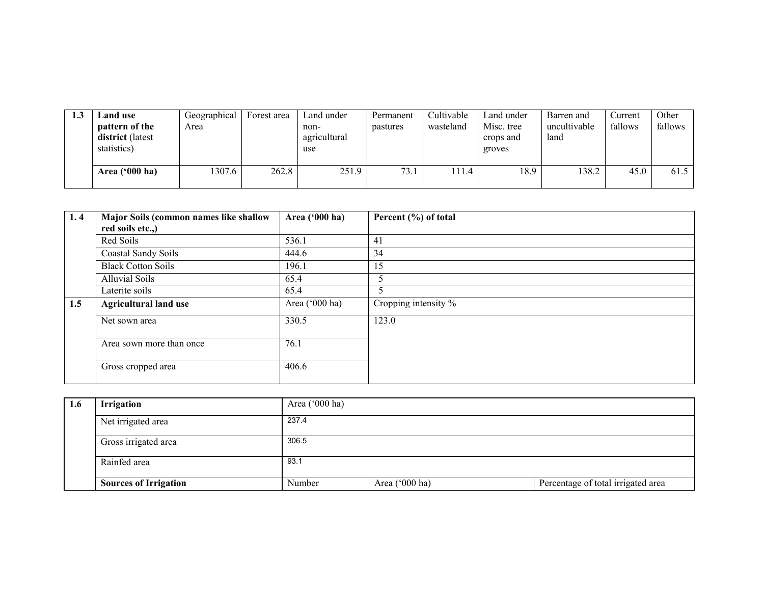| 1.3 | Land use<br>pattern of the<br>district (latest<br>statistics) | Geographical<br>Area | Forest area | Land under<br>non-<br>agricultural<br>use | Permanent<br>pastures | Cultivable<br>wasteland | Land under<br>Misc. tree<br>crops and<br>groves | Barren and<br>uncultivable<br>land | Current<br>fallows | Other<br>fallows |
|-----|---------------------------------------------------------------|----------------------|-------------|-------------------------------------------|-----------------------|-------------------------|-------------------------------------------------|------------------------------------|--------------------|------------------|
|     | Area $('000 ha)$                                              | 307.6                | 262.8       | 251.9                                     | 73.1                  | 11.4                    | 18.9                                            | 138.2                              | 45.0               | 61.5             |

| 1, 4 | Major Soils (common names like shallow | Area ('000 ha) | Percent (%) of total |
|------|----------------------------------------|----------------|----------------------|
|      | red soils etc.,)                       |                |                      |
|      | Red Soils                              | 536.1          | 41                   |
|      | Coastal Sandy Soils                    | 444.6          | 34                   |
|      | <b>Black Cotton Soils</b>              | 196.1          | 15                   |
|      | <b>Alluvial Soils</b>                  | 65.4           | 5                    |
|      | Laterite soils                         | 65.4           |                      |
| 1.5  | <b>Agricultural land use</b>           | Area ('000 ha) | Cropping intensity % |
|      | Net sown area                          | 330.5          | 123.0                |
|      |                                        |                |                      |
|      | Area sown more than once               | 76.1           |                      |
|      |                                        |                |                      |
|      | Gross cropped area                     | 406.6          |                      |
|      |                                        |                |                      |

| 1.6 | <b>Irrigation</b>            | Area $(000 \text{ ha})$ |                |                                    |
|-----|------------------------------|-------------------------|----------------|------------------------------------|
|     | Net irrigated area           | 237.4                   |                |                                    |
|     | Gross irrigated area         | 306.5                   |                |                                    |
|     | Rainfed area                 | 93.1                    |                |                                    |
|     | <b>Sources of Irrigation</b> | Number                  | Area ('000 ha) | Percentage of total irrigated area |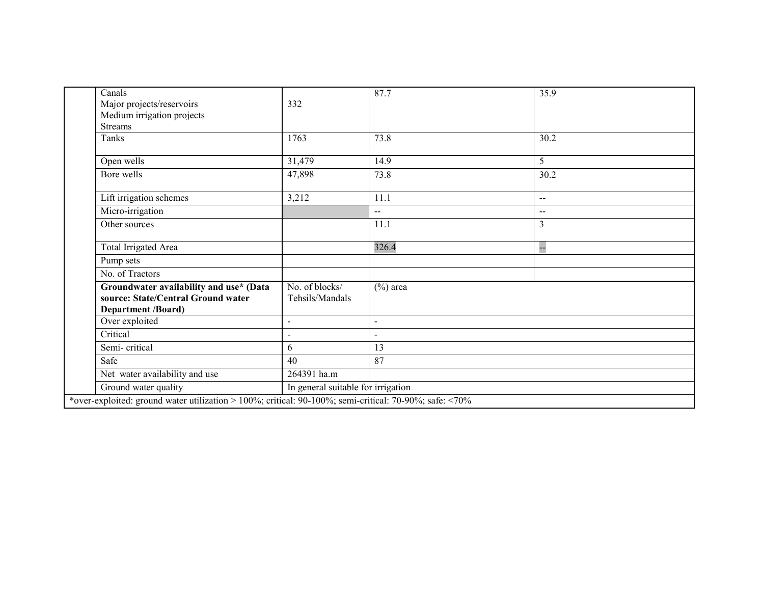| Canals                                                                                                     |                                    | 87.7        | 35.9           |
|------------------------------------------------------------------------------------------------------------|------------------------------------|-------------|----------------|
| Major projects/reservoirs                                                                                  | 332                                |             |                |
| Medium irrigation projects                                                                                 |                                    |             |                |
| <b>Streams</b>                                                                                             |                                    |             |                |
| Tanks                                                                                                      | 1763                               | 73.8        | 30.2           |
| Open wells                                                                                                 | 31,479                             | 14.9        | 5              |
| Bore wells                                                                                                 | 47,898                             | 73.8        | 30.2           |
| Lift irrigation schemes                                                                                    | 3,212                              | 11.1        | $-$            |
| Micro-irrigation                                                                                           |                                    | $-$         | $-$            |
| Other sources                                                                                              |                                    | 11.1        | $\mathfrak{Z}$ |
| Total Irrigated Area                                                                                       |                                    | 326.4       | ÷              |
| Pump sets                                                                                                  |                                    |             |                |
| No. of Tractors                                                                                            |                                    |             |                |
| Groundwater availability and use* (Data<br>source: State/Central Ground water<br><b>Department /Board)</b> | No. of blocks/<br>Tehsils/Mandals  | $(\%)$ area |                |
| Over exploited                                                                                             | $\blacksquare$                     | $\sim$      |                |
| Critical                                                                                                   | $\overline{a}$                     | $\sim$      |                |
| Semi-critical                                                                                              | 6                                  | 13          |                |
| Safe                                                                                                       | 40                                 | 87          |                |
| Net water availability and use                                                                             | 264391 ha.m                        |             |                |
| Ground water quality                                                                                       | In general suitable for irrigation |             |                |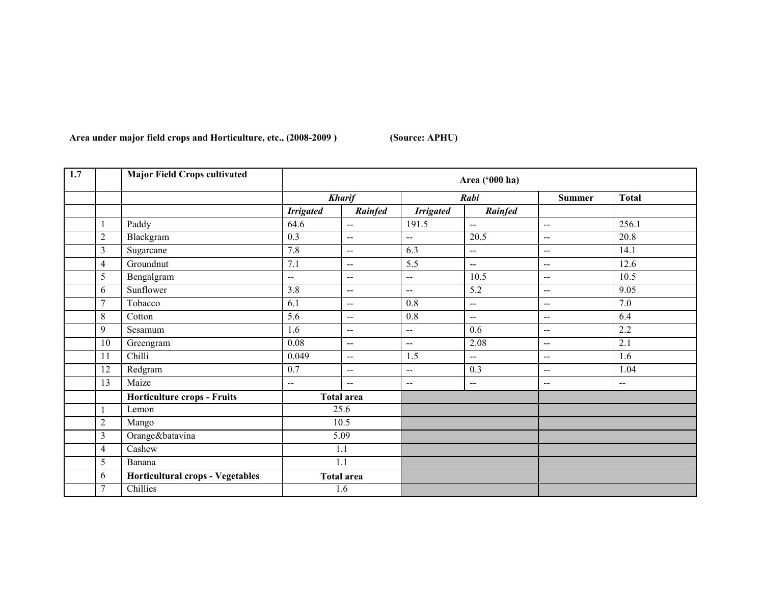Area under major field crops and Horticulture, etc., (2008-2009) (Source: APHU)

| 1.7 |                | <b>Major Field Crops cultivated</b> |                  |                          |                          | Area ('000 ha)           |                          |                |
|-----|----------------|-------------------------------------|------------------|--------------------------|--------------------------|--------------------------|--------------------------|----------------|
|     |                |                                     |                  | <b>Kharif</b>            |                          | Rabi                     | <b>Summer</b>            | <b>Total</b>   |
|     |                |                                     | <b>Irrigated</b> | Rainfed                  | <b>Irrigated</b>         | Rainfed                  |                          |                |
|     |                | Paddy                               | 64.6             | $\overline{\phantom{a}}$ | 191.5                    | $\overline{a}$           | $\overline{a}$           | 256.1          |
|     | $\overline{2}$ | Blackgram                           | 0.3              | $\overline{a}$           | --                       | 20.5                     | $\overline{\phantom{a}}$ | 20.8           |
|     | 3              | Sugarcane                           | 7.8              | $\overline{a}$           | 6.3                      | $\overline{\phantom{a}}$ | $\overline{a}$           | 14.1           |
|     | 4              | Groundnut                           | 7.1              | $\overline{a}$           | 5.5                      | $\overline{a}$           | $\overline{\phantom{a}}$ | 12.6           |
|     | 5              | Bengalgram                          | --               | $\mathbf{u}$             | $\overline{a}$           | 10.5                     | $\overline{a}$           | 10.5           |
|     | 6              | Sunflower                           | 3.8              | $\overline{a}$           | $\overline{a}$           | 5.2                      | $\overline{a}$           | 9.05           |
|     | 7              | Tobacco                             | 6.1              | $\sim$                   | 0.8                      | $\overline{a}$           | $\overline{\phantom{a}}$ | 7.0            |
|     | 8              | Cotton                              | 5.6              | $\overline{\phantom{a}}$ | 0.8                      | $-$                      | $\overline{a}$           | 6.4            |
|     | 9              | Sesamum                             | 1.6              | $\sim$ $\sim$            | $\overline{\phantom{a}}$ | 0.6                      | $\overline{\phantom{m}}$ | 2.2            |
|     | 10             | Greengram                           | 0.08             | $\mathbf{u}$             | $\overline{a}$           | 2.08                     | $\overline{a}$           | 2.1            |
|     | 11             | Chilli                              | 0.049            | $\sim$ $\sim$            | 1.5                      | $\overline{a}$           | $\overline{\phantom{a}}$ | 1.6            |
|     | 12             | Redgram                             | 0.7              | $\overline{a}$           | $\overline{a}$           | 0.3                      | $\overline{\phantom{a}}$ | 1.04           |
|     | 13             | Maize                               | $\mathbf{u}$     | $\sim$ $\sim$            | $-$                      | $\overline{a}$           | $\overline{\phantom{a}}$ | $\overline{a}$ |
|     |                | <b>Horticulture crops - Fruits</b>  |                  | <b>Total area</b>        |                          |                          |                          |                |
|     | J.             | Lemon                               |                  | 25.6                     |                          |                          |                          |                |
|     | $\sqrt{2}$     | Mango                               |                  | 10.5                     |                          |                          |                          |                |
|     | 3              | Orange&batavina                     |                  | 5.09                     |                          |                          |                          |                |
|     | $\overline{4}$ | Cashew                              | 1.1              |                          |                          |                          |                          |                |
|     | 5              | Banana                              |                  | 1.1                      |                          |                          |                          |                |
|     | 6              | Horticultural crops - Vegetables    |                  | <b>Total area</b>        |                          |                          |                          |                |
|     | $\overline{7}$ | Chillies                            |                  | 1.6                      |                          |                          |                          |                |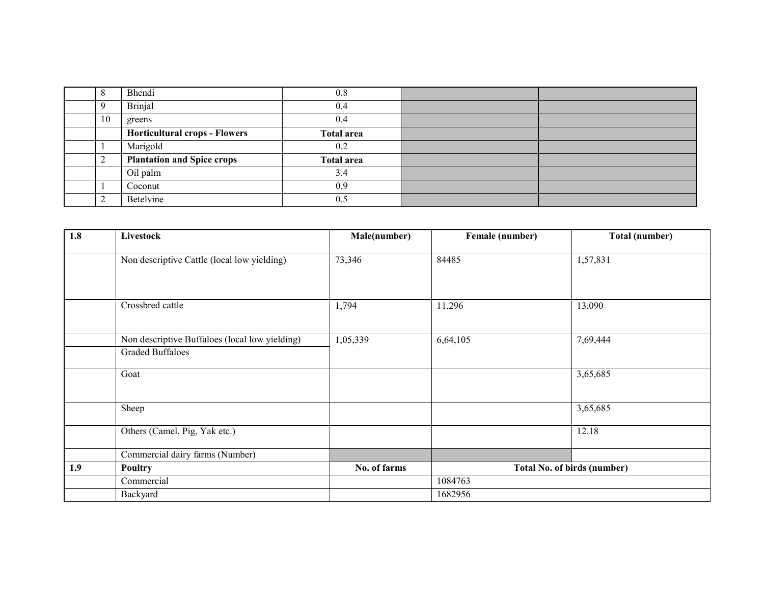|    | Bhendi                               | 0.8               |  |
|----|--------------------------------------|-------------------|--|
|    | <b>Brinjal</b>                       | 0.4               |  |
| 10 | greens                               | 0.4               |  |
|    | <b>Horticultural crops - Flowers</b> | <b>Total area</b> |  |
|    | Marigold                             | 0.2               |  |
|    | <b>Plantation and Spice crops</b>    | <b>Total area</b> |  |
|    | Oil palm                             | 3.4               |  |
|    | Coconut                              | 0.9               |  |
|    | Betelvine                            | 0.5               |  |

| 1.8 | Livestock                                                                 | Male(number) | Female (number)                    | Total (number) |  |
|-----|---------------------------------------------------------------------------|--------------|------------------------------------|----------------|--|
|     | Non descriptive Cattle (local low yielding)                               | 73,346       | 84485                              | 1,57,831       |  |
|     | Crossbred cattle                                                          | 1,794        | 11,296                             | 13,090         |  |
|     | Non descriptive Buffaloes (local low yielding)<br><b>Graded Buffaloes</b> | 1,05,339     | 6,64,105                           | 7,69,444       |  |
|     | Goat                                                                      |              |                                    | 3,65,685       |  |
|     | Sheep                                                                     |              |                                    | 3,65,685       |  |
|     | Others (Camel, Pig, Yak etc.)                                             |              |                                    | 12.18          |  |
|     | Commercial dairy farms (Number)                                           |              |                                    |                |  |
| 1.9 | <b>Poultry</b>                                                            | No. of farms | <b>Total No. of birds (number)</b> |                |  |
|     | Commercial                                                                |              | 1084763                            |                |  |
|     | Backyard                                                                  |              | 1682956                            |                |  |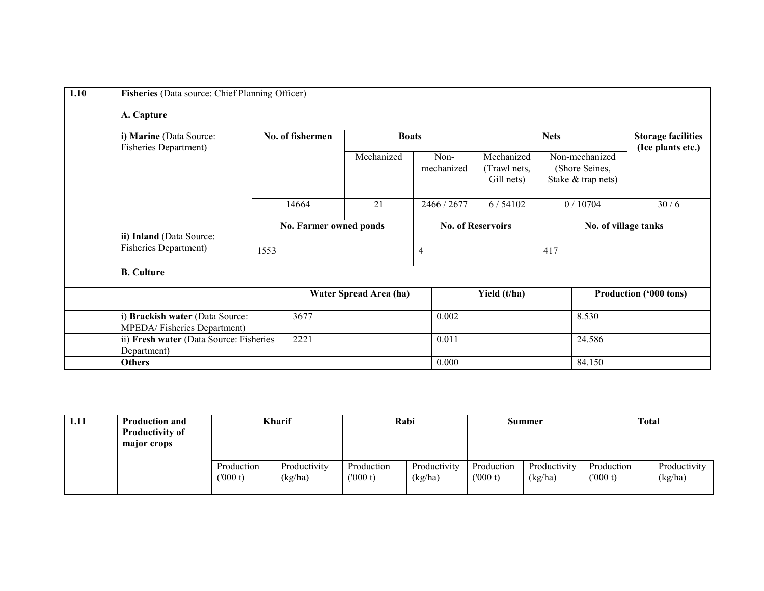| 1.10 | Fisheries (Data source: Chief Planning Officer)                |       |                        |                        |                          |                                          |                                                        |         |                                                |  |  |
|------|----------------------------------------------------------------|-------|------------------------|------------------------|--------------------------|------------------------------------------|--------------------------------------------------------|---------|------------------------------------------------|--|--|
|      | A. Capture                                                     |       |                        |                        |                          |                                          |                                                        |         |                                                |  |  |
|      | i) Marine (Data Source:<br>Fisheries Department)               |       | No. of fishermen       | <b>Boats</b>           |                          |                                          | <b>Nets</b>                                            |         | <b>Storage facilities</b><br>(Ice plants etc.) |  |  |
|      |                                                                |       |                        | Mechanized             | Non-<br>mechanized       | Mechanized<br>(Trawl nets,<br>Gill nets) | Non-mechanized<br>(Shore Seines,<br>Stake & trap nets) |         |                                                |  |  |
|      |                                                                | 14664 |                        | 21                     | 2466 / 2677              | 6/54102                                  |                                                        | 0/10704 | 30/6                                           |  |  |
|      | ii) Inland (Data Source:                                       |       | No. Farmer owned ponds |                        | <b>No. of Reservoirs</b> |                                          | No. of village tanks                                   |         |                                                |  |  |
|      | <b>Fisheries Department)</b>                                   | 1553  |                        |                        | 417<br>$\overline{4}$    |                                          |                                                        |         |                                                |  |  |
|      | <b>B.</b> Culture                                              |       |                        |                        |                          |                                          |                                                        |         |                                                |  |  |
|      |                                                                |       |                        | Water Spread Area (ha) |                          | Yield (t/ha)                             |                                                        |         | Production ('000 tons)                         |  |  |
|      | i) Brackish water (Data Source:<br>MPEDA/Fisheries Department) |       | 3677                   |                        | 0.002                    |                                          |                                                        | 8.530   |                                                |  |  |
|      | ii) Fresh water (Data Source: Fisheries<br>Department)         |       | 2221                   |                        | 0.011                    |                                          |                                                        | 24.586  |                                                |  |  |
|      | <b>Others</b>                                                  |       |                        |                        | 0.000                    |                                          |                                                        | 84.150  |                                                |  |  |

| 1.11 | <b>Production and</b><br><b>Productivity of</b><br>major crops |                       | Kharif                  | Rabi                  |                         |                       | Summer                  | Total                 |                         |
|------|----------------------------------------------------------------|-----------------------|-------------------------|-----------------------|-------------------------|-----------------------|-------------------------|-----------------------|-------------------------|
|      |                                                                | Production<br>(000 t) | Productivity<br>(kg/ha) | Production<br>(000 t) | Productivity<br>(kg/ha) | Production<br>(000 t) | Productivity<br>(kg/ha) | Production<br>(000 t) | Productivity<br>(kg/ha) |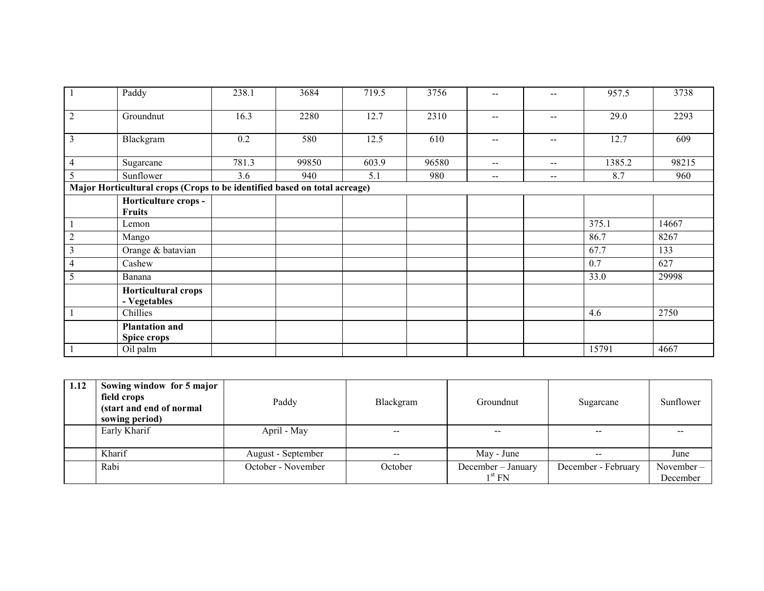| $\overline{1}$                                                            | Paddy                                 | 238.1 | 3684  | 719.5 | 3756  | $- -$                    |                                                | 957.5  | 3738  |  |  |
|---------------------------------------------------------------------------|---------------------------------------|-------|-------|-------|-------|--------------------------|------------------------------------------------|--------|-------|--|--|
| $\overline{2}$                                                            | Groundnut                             | 16.3  | 2280  | 12.7  | 2310  | $\sim$ $\sim$            | $\hspace{0.1mm}-\hspace{0.1mm}-\hspace{0.1mm}$ | 29.0   | 2293  |  |  |
| $\overline{3}$                                                            | Blackgram                             | 0.2   | 580   | 12.5  | 610   | $\overline{\phantom{m}}$ | $\sim$ $\sim$                                  | 12.7   | 609   |  |  |
| $\overline{4}$                                                            | Sugarcane                             | 781.3 | 99850 | 603.9 | 96580 | $\mathbf{u}$             | $\hspace{0.1mm}-\hspace{0.1mm}-\hspace{0.1mm}$ | 1385.2 | 98215 |  |  |
| 5                                                                         | Sunflower                             | 3.6   | 940   | 5.1   | 980   | $--$                     | $\hspace{0.1mm}-\hspace{0.1mm}-\hspace{0.1mm}$ | 8.7    | 960   |  |  |
| Major Horticultural crops (Crops to be identified based on total acreage) |                                       |       |       |       |       |                          |                                                |        |       |  |  |
|                                                                           | Horticulture crops -<br><b>Fruits</b> |       |       |       |       |                          |                                                |        |       |  |  |
| $\mathbf{1}$                                                              | Lemon                                 |       |       |       |       |                          |                                                | 375.1  | 14667 |  |  |
| $\mathbf{2}$                                                              | Mango                                 |       |       |       |       |                          |                                                | 86.7   | 8267  |  |  |
| $\mathfrak{Z}$                                                            | Orange & batavian                     |       |       |       |       |                          |                                                | 67.7   | 133   |  |  |
| 4                                                                         | Cashew                                |       |       |       |       |                          |                                                | 0.7    | 627   |  |  |
| 5                                                                         | Banana                                |       |       |       |       |                          |                                                | 33.0   | 29998 |  |  |
|                                                                           | Horticultural crops<br>- Vegetables   |       |       |       |       |                          |                                                |        |       |  |  |
| $\mathbf{1}$                                                              | Chillies                              |       |       |       |       |                          |                                                | 4.6    | 2750  |  |  |
|                                                                           | <b>Plantation and</b><br>Spice crops  |       |       |       |       |                          |                                                |        |       |  |  |
| $\mathbf{1}$                                                              | Oil palm                              |       |       |       |       |                          |                                                | 15791  | 4667  |  |  |

| 1.12 | Sowing window for 5 major<br>field crops<br>(start and end of normal<br>sowing period) | Paddy              | Blackgram | Groundnut                                | Sugarcane           | Sunflower             |
|------|----------------------------------------------------------------------------------------|--------------------|-----------|------------------------------------------|---------------------|-----------------------|
|      | Early Kharif                                                                           | April - May        | $- -$     |                                          | $- -$               |                       |
|      | Kharif                                                                                 | August - September | $- -$     | May - June                               | $- -$               | June                  |
|      | Rabi                                                                                   | October - November | October   | December - January<br>1 <sup>st</sup> FN | December - February | November-<br>December |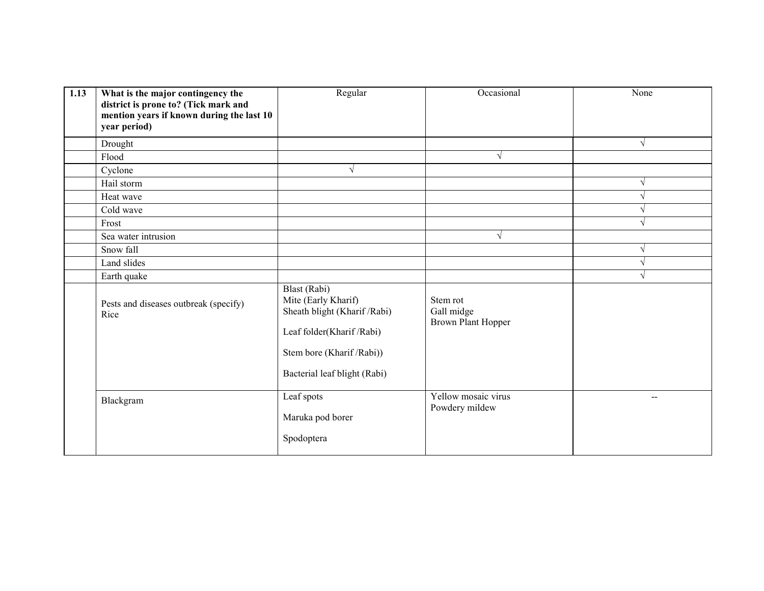| 1.13 | What is the major contingency the<br>district is prone to? (Tick mark and<br>mention years if known during the last 10<br>year period) | Regular                                                                                                                                                       | Occasional                                          | None          |
|------|----------------------------------------------------------------------------------------------------------------------------------------|---------------------------------------------------------------------------------------------------------------------------------------------------------------|-----------------------------------------------------|---------------|
|      | Drought                                                                                                                                |                                                                                                                                                               |                                                     | $\sqrt{ }$    |
|      | Flood                                                                                                                                  |                                                                                                                                                               | $\sqrt{ }$                                          |               |
|      | Cyclone                                                                                                                                | V                                                                                                                                                             |                                                     |               |
|      | Hail storm                                                                                                                             |                                                                                                                                                               |                                                     | $\sqrt{ }$    |
|      | Heat wave                                                                                                                              |                                                                                                                                                               |                                                     | $\mathcal{L}$ |
|      | Cold wave                                                                                                                              |                                                                                                                                                               |                                                     | $\mathcal{L}$ |
|      | Frost                                                                                                                                  |                                                                                                                                                               |                                                     | $\sqrt{ }$    |
|      | Sea water intrusion                                                                                                                    |                                                                                                                                                               | $\sqrt{}$                                           |               |
|      | Snow fall                                                                                                                              |                                                                                                                                                               |                                                     | $\sqrt{}$     |
|      | Land slides                                                                                                                            |                                                                                                                                                               |                                                     | $\mathcal{L}$ |
|      | Earth quake                                                                                                                            |                                                                                                                                                               |                                                     | $\mathcal{L}$ |
|      | Pests and diseases outbreak (specify)<br>Rice                                                                                          | Blast (Rabi)<br>Mite (Early Kharif)<br>Sheath blight (Kharif /Rabi)<br>Leaf folder(Kharif/Rabi)<br>Stem bore (Kharif / Rabi))<br>Bacterial leaf blight (Rabi) | Stem rot<br>Gall midge<br><b>Brown Plant Hopper</b> |               |
|      | Blackgram                                                                                                                              | Leaf spots<br>Maruka pod borer<br>Spodoptera                                                                                                                  | Yellow mosaic virus<br>Powdery mildew               | --            |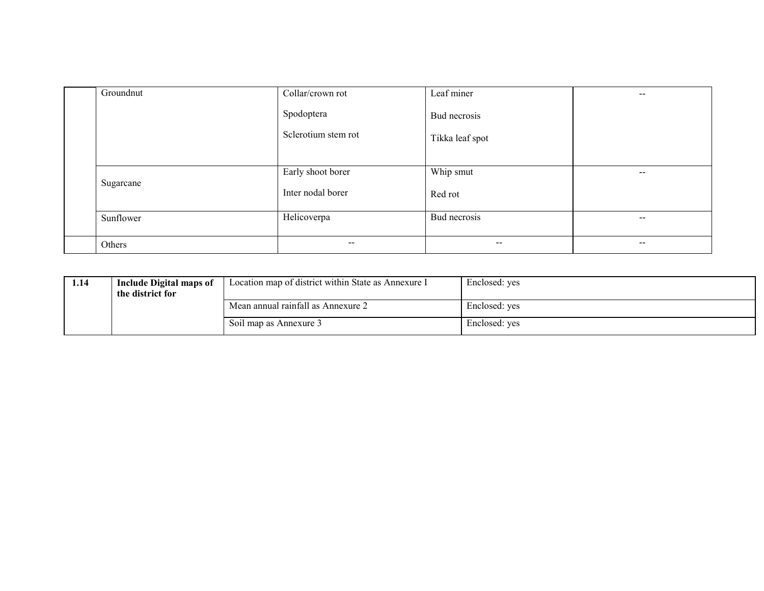| Groundnut | Collar/crown rot    | Leaf miner      | $- -$                    |
|-----------|---------------------|-----------------|--------------------------|
|           | Spodoptera          | Bud necrosis    |                          |
|           | Sclerotium stem rot | Tikka leaf spot |                          |
| Sugarcane | Early shoot borer   | Whip smut       | $\hspace{0.05cm}$        |
|           | Inter nodal borer   | Red rot         |                          |
| Sunflower | Helicoverpa         | Bud necrosis    | $\overline{\phantom{m}}$ |
| Others    | $\sim$ $\sim$       | $\sim$ $\sim$   | $- -$                    |

| 1.14 | <b>Include Digital maps of</b> | Location map of district within State as Annexure I | Enclosed: yes |
|------|--------------------------------|-----------------------------------------------------|---------------|
|      | the district for               |                                                     |               |
|      |                                | Mean annual rainfall as Annexure 2                  | Enclosed: yes |
|      |                                | Soil map as Annexure 3                              | Enclosed: yes |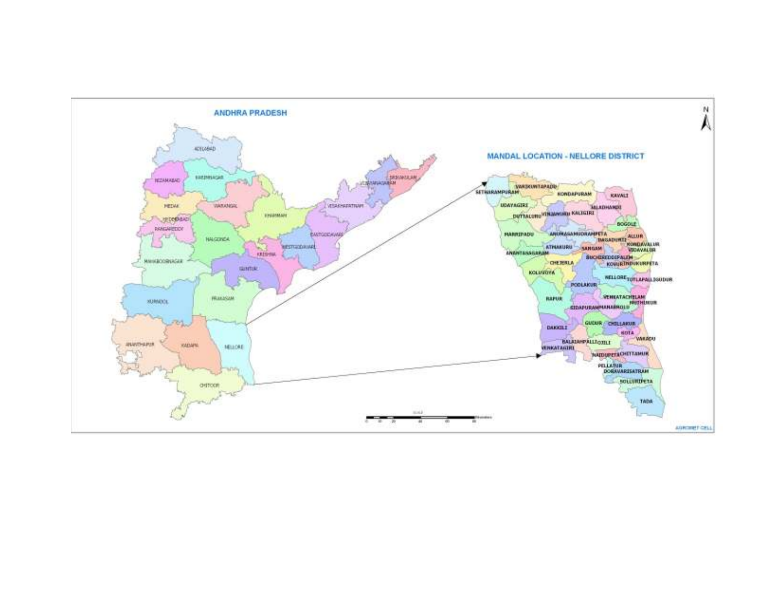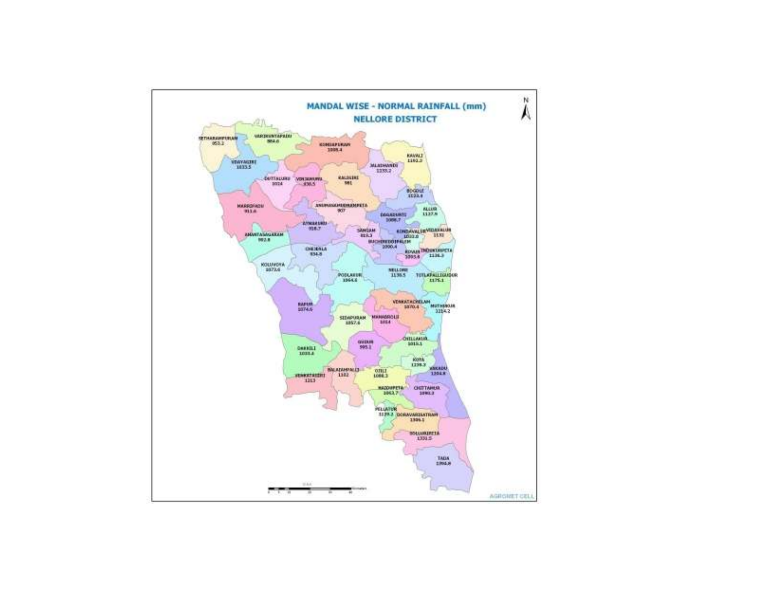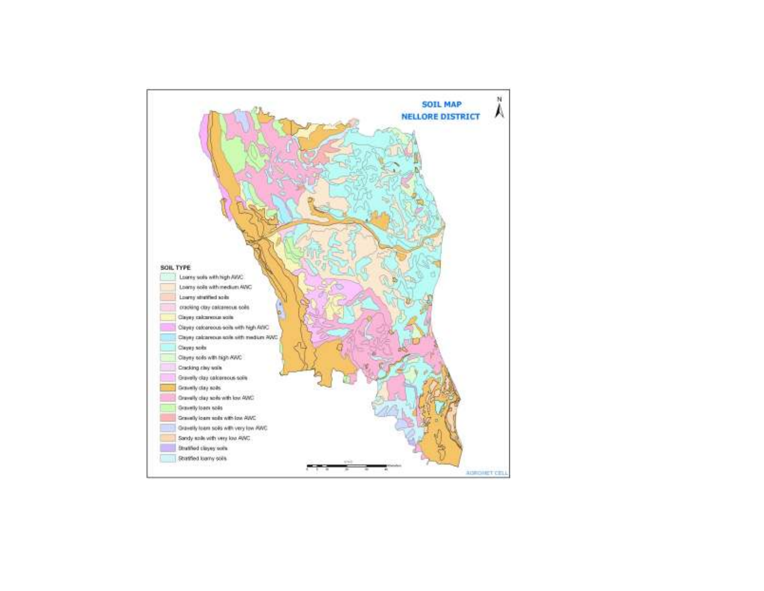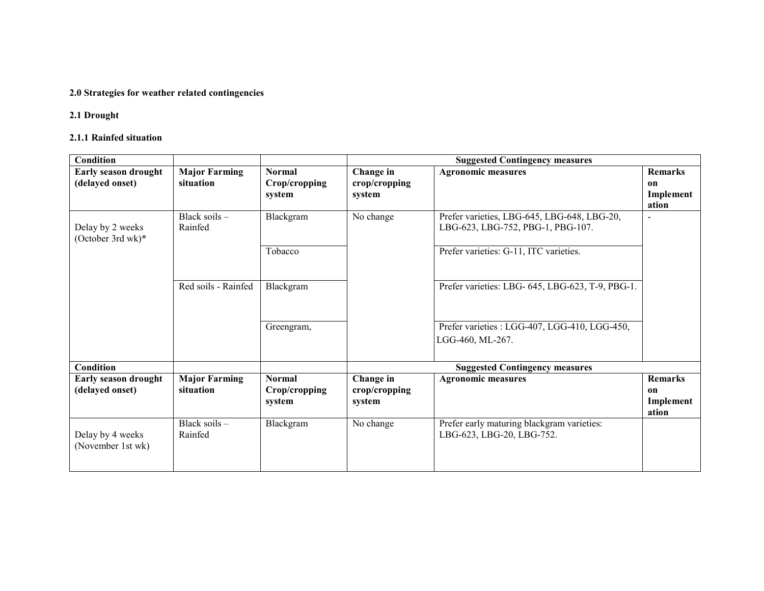## 2.0 Strategies for weather related contingencies

#### 2.1 Drought

## 2.1.1 Rainfed situation

| Condition                             |                      |               | <b>Suggested Contingency measures</b> |                                                  |                          |  |
|---------------------------------------|----------------------|---------------|---------------------------------------|--------------------------------------------------|--------------------------|--|
| <b>Early season drought</b>           | <b>Major Farming</b> | <b>Normal</b> | Change in                             | <b>Agronomic measures</b>                        | <b>Remarks</b>           |  |
| (delayed onset)                       | situation            | Crop/cropping | crop/cropping                         |                                                  | on                       |  |
|                                       |                      | system        | system                                |                                                  | Implement                |  |
|                                       |                      |               |                                       |                                                  | ation                    |  |
|                                       | Black soils $-$      | Blackgram     | No change                             | Prefer varieties, LBG-645, LBG-648, LBG-20,      | $\overline{\phantom{0}}$ |  |
| Delay by 2 weeks<br>(October 3rd wk)* | Rainfed              |               |                                       | LBG-623, LBG-752, PBG-1, PBG-107.                |                          |  |
|                                       |                      | Tobacco       |                                       | Prefer varieties: G-11, ITC varieties.           |                          |  |
|                                       |                      |               |                                       |                                                  |                          |  |
|                                       |                      |               |                                       |                                                  |                          |  |
|                                       | Red soils - Rainfed  | Blackgram     |                                       | Prefer varieties: LBG- 645, LBG-623, T-9, PBG-1. |                          |  |
|                                       |                      |               |                                       |                                                  |                          |  |
|                                       |                      |               |                                       |                                                  |                          |  |
|                                       |                      |               |                                       |                                                  |                          |  |
|                                       |                      | Greengram,    |                                       | Prefer varieties : LGG-407, LGG-410, LGG-450,    |                          |  |
|                                       |                      |               |                                       | LGG-460, ML-267.                                 |                          |  |
|                                       |                      |               |                                       |                                                  |                          |  |
| <b>Condition</b>                      |                      |               |                                       | <b>Suggested Contingency measures</b>            |                          |  |
| <b>Early season drought</b>           | <b>Major Farming</b> | <b>Normal</b> | Change in                             | <b>Agronomic measures</b>                        | <b>Remarks</b>           |  |
| (delayed onset)                       | situation            | Crop/cropping | crop/cropping                         |                                                  | on                       |  |
|                                       |                      | system        | system                                |                                                  | Implement                |  |
|                                       |                      |               |                                       |                                                  | ation                    |  |
|                                       | Black soils -        | Blackgram     | No change                             | Prefer early maturing blackgram varieties:       |                          |  |
| Delay by 4 weeks                      | Rainfed              |               |                                       | LBG-623, LBG-20, LBG-752.                        |                          |  |
| (November 1st wk)                     |                      |               |                                       |                                                  |                          |  |
|                                       |                      |               |                                       |                                                  |                          |  |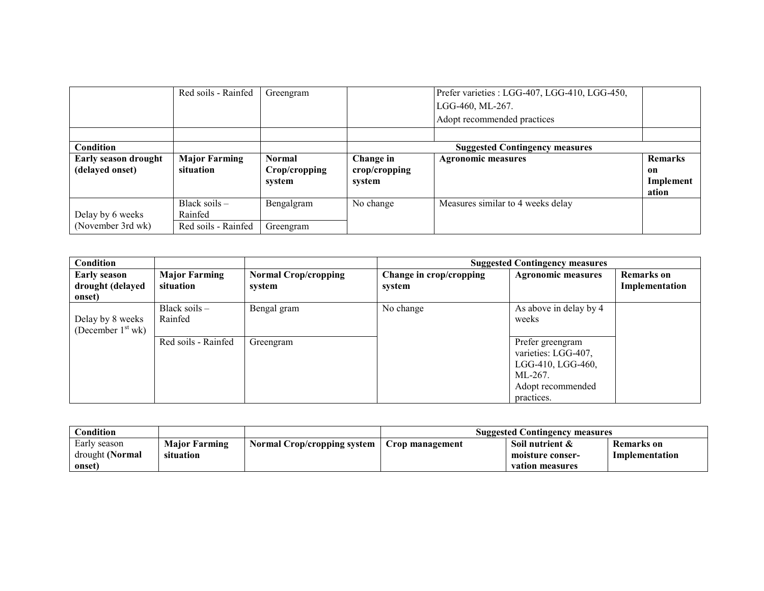|                             | Red soils - Rainfed  | Greengram     |               | Prefer varieties : LGG-407, LGG-410, LGG-450, |                |
|-----------------------------|----------------------|---------------|---------------|-----------------------------------------------|----------------|
|                             |                      |               |               | LGG-460, ML-267.                              |                |
|                             |                      |               |               | Adopt recommended practices                   |                |
|                             |                      |               |               |                                               |                |
| Condition                   |                      |               |               | <b>Suggested Contingency measures</b>         |                |
| <b>Early season drought</b> | <b>Major Farming</b> | <b>Normal</b> | Change in     | <b>Agronomic measures</b>                     | <b>Remarks</b> |
| (delayed onset)             | situation            | Crop/cropping | crop/cropping |                                               | 0n             |
|                             |                      | system        | system        |                                               | Implement      |
|                             |                      |               |               |                                               | ation          |
|                             | Black soils -        | Bengalgram    | No change     | Measures similar to 4 weeks delay             |                |
| Delay by 6 weeks            | Rainfed              |               |               |                                               |                |
| (November 3rd wk)           | Red soils - Rainfed  | Greengram     |               |                                               |                |

| Condition                                         |                                   |                                       |                                   | <b>Suggested Contingency measures</b>                                                                      |                                     |
|---------------------------------------------------|-----------------------------------|---------------------------------------|-----------------------------------|------------------------------------------------------------------------------------------------------------|-------------------------------------|
| <b>Early season</b><br>drought (delayed<br>onset) | <b>Major Farming</b><br>situation | <b>Normal Crop/cropping</b><br>system | Change in crop/cropping<br>system | <b>Agronomic measures</b>                                                                                  | <b>Remarks</b> on<br>Implementation |
| Delay by 8 weeks<br>(December $1st$ wk)           | Black soils $-$<br>Rainfed        | Bengal gram                           | No change                         | As above in delay by 4<br>weeks                                                                            |                                     |
|                                                   | Red soils - Rainfed               | Greengram                             |                                   | Prefer greengram<br>varieties: LGG-407,<br>LGG-410, LGG-460,<br>ML-267.<br>Adopt recommended<br>practices. |                                     |

| Condition                       |                                   |                             | <b>Suggested Contingency measures</b> |                                     |                                     |  |
|---------------------------------|-----------------------------------|-----------------------------|---------------------------------------|-------------------------------------|-------------------------------------|--|
| Early season<br>drought (Normal | <b>Major Farming</b><br>situation | Normal Crop/cropping system | Crop management                       | Soil nutrient &<br>moisture conser- | <b>Remarks</b> on<br>Implementation |  |
| onset)                          |                                   |                             |                                       | vation measures                     |                                     |  |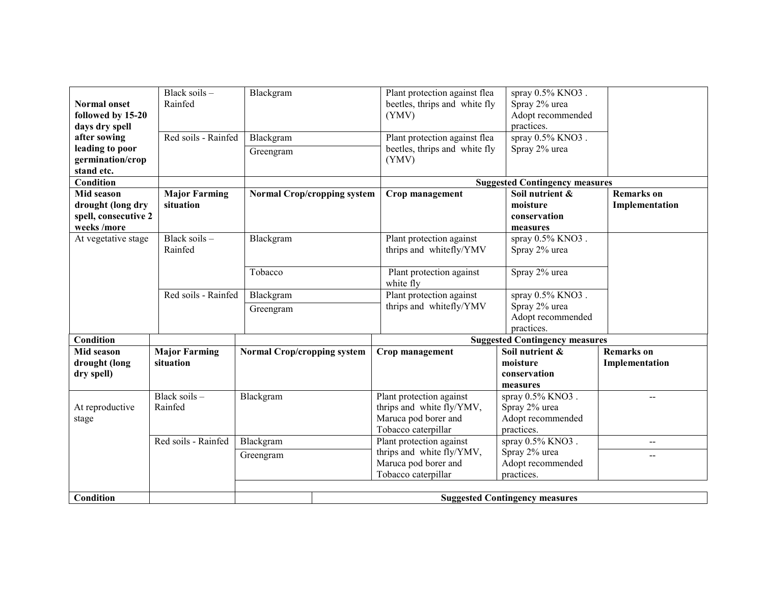|                      | Black soils $-$      | Blackgram                          |                                    | Plant protection against flea | spray 0.5% KNO3.                      |                   |
|----------------------|----------------------|------------------------------------|------------------------------------|-------------------------------|---------------------------------------|-------------------|
| <b>Normal onset</b>  | Rainfed              |                                    |                                    | beetles, thrips and white fly | Spray 2% urea                         |                   |
| followed by 15-20    |                      |                                    |                                    | (YMV)                         | Adopt recommended                     |                   |
| days dry spell       |                      |                                    |                                    |                               | practices.                            |                   |
| after sowing         | Red soils - Rainfed  | Blackgram                          |                                    | Plant protection against flea | spray 0.5% KNO3.                      |                   |
| leading to poor      |                      | Greengram                          |                                    | beetles, thrips and white fly | Spray 2% urea                         |                   |
| germination/crop     |                      |                                    |                                    | (YMV)                         |                                       |                   |
| stand etc.           |                      |                                    |                                    |                               |                                       |                   |
| Condition            |                      |                                    |                                    |                               | <b>Suggested Contingency measures</b> |                   |
| Mid season           | <b>Major Farming</b> |                                    | <b>Normal Crop/cropping system</b> | Crop management               | Soil nutrient &                       | <b>Remarks</b> on |
| drought (long dry    | situation            |                                    |                                    |                               | moisture                              | Implementation    |
| spell, consecutive 2 |                      |                                    |                                    |                               | conservation                          |                   |
| weeks /more          |                      |                                    |                                    |                               | measures                              |                   |
| At vegetative stage  | Black soils -        | Blackgram                          |                                    | Plant protection against      | spray 0.5% KNO3.                      |                   |
|                      | Rainfed              |                                    |                                    | thrips and whitefly/YMV       | Spray 2% urea                         |                   |
|                      |                      |                                    |                                    |                               |                                       |                   |
|                      |                      | Tobacco                            |                                    | Plant protection against      | Spray 2% urea                         |                   |
|                      |                      |                                    |                                    | white fly                     |                                       |                   |
|                      | Red soils - Rainfed  | Blackgram                          |                                    | Plant protection against      | spray 0.5% KNO3.                      |                   |
|                      |                      | Greengram                          |                                    | thrips and whitefly/YMV       | Spray 2% urea                         |                   |
|                      |                      |                                    |                                    |                               | Adopt recommended                     |                   |
|                      |                      |                                    |                                    |                               | practices.                            |                   |
| <b>Condition</b>     |                      |                                    |                                    |                               | <b>Suggested Contingency measures</b> |                   |
| Mid season           | <b>Major Farming</b> | <b>Normal Crop/cropping system</b> |                                    | Crop management               | Soil nutrient &                       | <b>Remarks</b> on |
| drought (long        | situation            |                                    |                                    |                               | moisture                              | Implementation    |
| dry spell)           |                      |                                    |                                    |                               | conservation                          |                   |
|                      |                      |                                    |                                    |                               | measures                              |                   |
|                      | Black soils -        | Blackgram                          |                                    | Plant protection against      | spray 0.5% KNO3.                      | $\overline{a}$    |
| At reproductive      | Rainfed              |                                    |                                    | thrips and white fly/YMV,     | Spray 2% urea                         |                   |
| stage                |                      |                                    |                                    | Maruca pod borer and          | Adopt recommended                     |                   |
|                      |                      |                                    |                                    | Tobacco caterpillar           | practices.                            |                   |
|                      | Red soils - Rainfed  | Blackgram                          |                                    | Plant protection against      | spray 0.5% KNO3.                      | --                |
|                      |                      | Greengram                          |                                    | thrips and white fly/YMV,     | Spray 2% urea                         | $- -$             |
|                      |                      |                                    |                                    | Maruca pod borer and          | Adopt recommended                     |                   |
|                      |                      |                                    |                                    | Tobacco caterpillar           | practices.                            |                   |
|                      |                      |                                    |                                    |                               |                                       |                   |
| <b>Condition</b>     |                      |                                    |                                    |                               | <b>Suggested Contingency measures</b> |                   |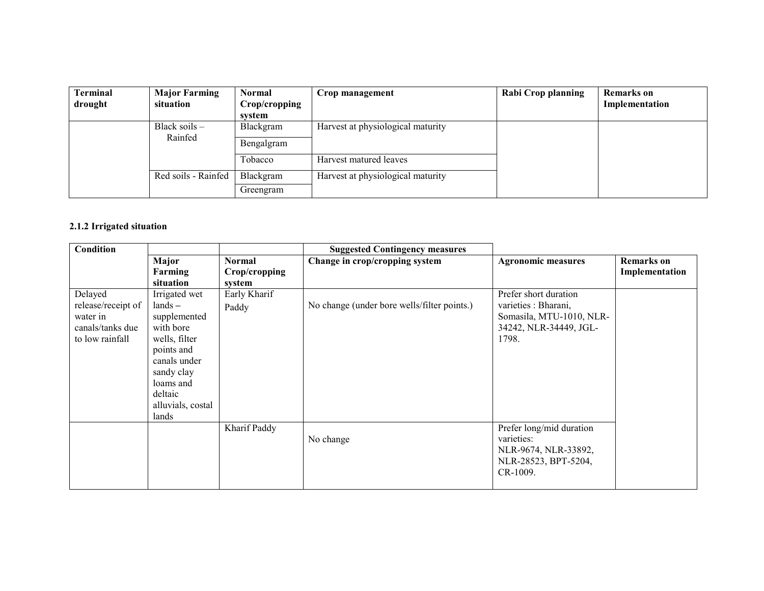| <b>Terminal</b><br>drought | <b>Major Farming</b><br>situation | <b>Normal</b><br>Crop/cropping<br>system | Crop management                   | Rabi Crop planning | <b>Remarks</b> on<br>Implementation |
|----------------------------|-----------------------------------|------------------------------------------|-----------------------------------|--------------------|-------------------------------------|
|                            | Black soils $-$<br>Rainfed        | Blackgram<br>Bengalgram                  | Harvest at physiological maturity |                    |                                     |
|                            |                                   | Tobacco                                  | Harvest matured leaves            |                    |                                     |
|                            | Red soils - Rainfed               | Blackgram                                | Harvest at physiological maturity |                    |                                     |
|                            |                                   | Greengram                                |                                   |                    |                                     |

### 2.1.2 Irrigated situation

| Condition          |                         |                                | <b>Suggested Contingency measures</b>       |                           |                                     |
|--------------------|-------------------------|--------------------------------|---------------------------------------------|---------------------------|-------------------------------------|
|                    | Major<br>Farming        | <b>Normal</b><br>Crop/cropping | Change in crop/cropping system              | <b>Agronomic measures</b> | <b>Remarks</b> on<br>Implementation |
|                    | situation               | system                         |                                             |                           |                                     |
| Delayed            | Irrigated wet           | Early Kharif                   |                                             | Prefer short duration     |                                     |
| release/receipt of | $lands -$               | Paddy                          | No change (under bore wells/filter points.) | varieties : Bharani,      |                                     |
| water in           | supplemented            |                                |                                             | Somasila, MTU-1010, NLR-  |                                     |
| canals/tanks due   | with bore               |                                |                                             | 34242, NLR-34449, JGL-    |                                     |
| to low rainfall    | wells, filter           |                                |                                             | 1798.                     |                                     |
|                    | points and              |                                |                                             |                           |                                     |
|                    | canals under            |                                |                                             |                           |                                     |
|                    | sandy clay<br>loams and |                                |                                             |                           |                                     |
|                    | deltaic                 |                                |                                             |                           |                                     |
|                    | alluvials, costal       |                                |                                             |                           |                                     |
|                    | lands                   |                                |                                             |                           |                                     |
|                    |                         | Kharif Paddy                   |                                             | Prefer long/mid duration  |                                     |
|                    |                         |                                | No change                                   | varieties:                |                                     |
|                    |                         |                                |                                             | NLR-9674, NLR-33892,      |                                     |
|                    |                         |                                |                                             | NLR-28523, BPT-5204,      |                                     |
|                    |                         |                                |                                             | CR-1009.                  |                                     |
|                    |                         |                                |                                             |                           |                                     |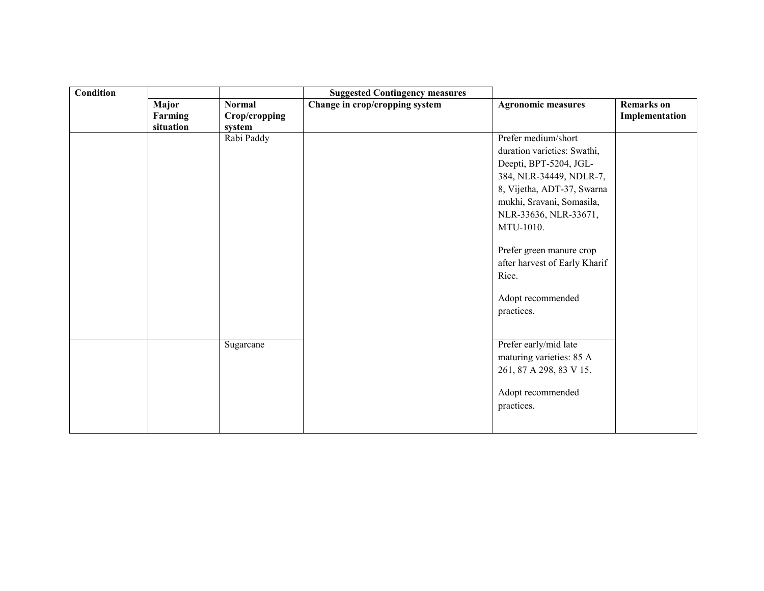| <b>Condition</b> |                               |                                          | <b>Suggested Contingency measures</b> |                                                                                                                                                                                                                                                                                                                   |                                     |
|------------------|-------------------------------|------------------------------------------|---------------------------------------|-------------------------------------------------------------------------------------------------------------------------------------------------------------------------------------------------------------------------------------------------------------------------------------------------------------------|-------------------------------------|
|                  | Major<br>Farming<br>situation | <b>Normal</b><br>Crop/cropping<br>system | Change in crop/cropping system        | <b>Agronomic measures</b>                                                                                                                                                                                                                                                                                         | <b>Remarks</b> on<br>Implementation |
|                  |                               | Rabi Paddy                               |                                       | Prefer medium/short<br>duration varieties: Swathi,<br>Deepti, BPT-5204, JGL-<br>384, NLR-34449, NDLR-7,<br>8, Vijetha, ADT-37, Swarna<br>mukhi, Sravani, Somasila,<br>NLR-33636, NLR-33671,<br>MTU-1010.<br>Prefer green manure crop<br>after harvest of Early Kharif<br>Rice.<br>Adopt recommended<br>practices. |                                     |
|                  |                               | Sugarcane                                |                                       | Prefer early/mid late<br>maturing varieties: 85 A<br>261, 87 A 298, 83 V 15.<br>Adopt recommended<br>practices.                                                                                                                                                                                                   |                                     |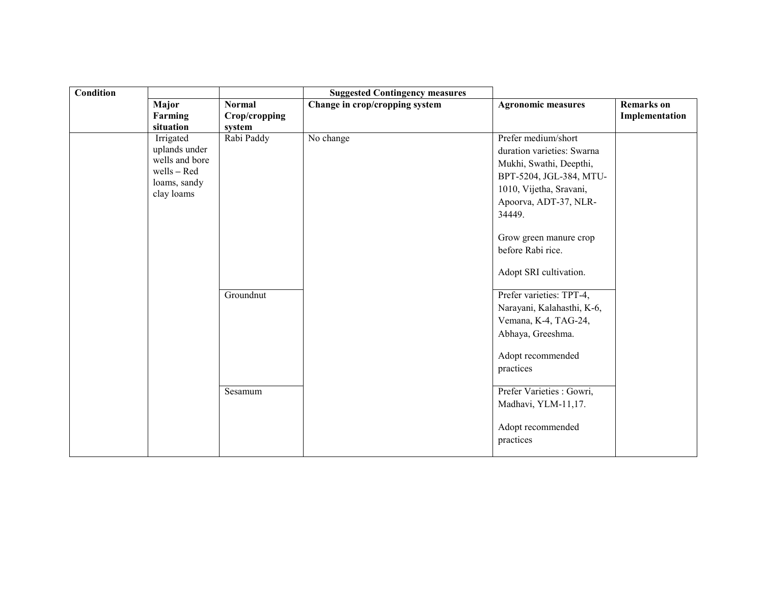| <b>Condition</b> |                                                                                           |                                          | <b>Suggested Contingency measures</b> |                                                                                                                                                                                                                                                |                                     |
|------------------|-------------------------------------------------------------------------------------------|------------------------------------------|---------------------------------------|------------------------------------------------------------------------------------------------------------------------------------------------------------------------------------------------------------------------------------------------|-------------------------------------|
|                  | Major<br>Farming<br>situation                                                             | <b>Normal</b><br>Crop/cropping<br>system | Change in crop/cropping system        | <b>Agronomic measures</b>                                                                                                                                                                                                                      | <b>Remarks</b> on<br>Implementation |
|                  | Irrigated<br>uplands under<br>wells and bore<br>wells - Red<br>loams, sandy<br>clay loams | Rabi Paddy                               | No change                             | Prefer medium/short<br>duration varieties: Swarna<br>Mukhi, Swathi, Deepthi,<br>BPT-5204, JGL-384, MTU-<br>1010, Vijetha, Sravani,<br>Apoorva, ADT-37, NLR-<br>34449.<br>Grow green manure crop<br>before Rabi rice.<br>Adopt SRI cultivation. |                                     |
|                  |                                                                                           | Groundnut<br>Sesamum                     |                                       | Prefer varieties: TPT-4,<br>Narayani, Kalahasthi, K-6,<br>Vemana, K-4, TAG-24,<br>Abhaya, Greeshma.<br>Adopt recommended<br>practices<br>Prefer Varieties : Gowri,                                                                             |                                     |
|                  |                                                                                           |                                          |                                       | Madhavi, YLM-11,17.<br>Adopt recommended<br>practices                                                                                                                                                                                          |                                     |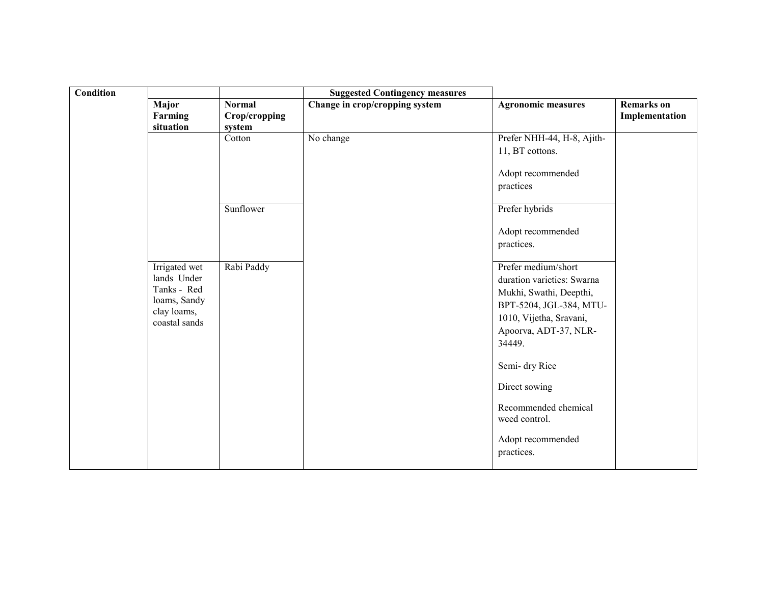| <b>Condition</b> |                                                                                             |                                          | <b>Suggested Contingency measures</b> |                                                                                                                                                                                                         |                                     |
|------------------|---------------------------------------------------------------------------------------------|------------------------------------------|---------------------------------------|---------------------------------------------------------------------------------------------------------------------------------------------------------------------------------------------------------|-------------------------------------|
|                  | Major<br>Farming<br>situation                                                               | <b>Normal</b><br>Crop/cropping<br>system | Change in crop/cropping system        | <b>Agronomic measures</b>                                                                                                                                                                               | <b>Remarks</b> on<br>Implementation |
|                  |                                                                                             | Cotton                                   | No change                             | Prefer NHH-44, H-8, Ajith-<br>11, BT cottons.<br>Adopt recommended<br>practices                                                                                                                         |                                     |
|                  |                                                                                             | Sunflower                                |                                       | Prefer hybrids<br>Adopt recommended<br>practices.                                                                                                                                                       |                                     |
|                  | Irrigated wet<br>lands Under<br>Tanks - Red<br>loams, Sandy<br>clay loams,<br>coastal sands | Rabi Paddy                               |                                       | Prefer medium/short<br>duration varieties: Swarna<br>Mukhi, Swathi, Deepthi,<br>BPT-5204, JGL-384, MTU-<br>1010, Vijetha, Sravani,<br>Apoorva, ADT-37, NLR-<br>34449.<br>Semi-dry Rice<br>Direct sowing |                                     |
|                  |                                                                                             |                                          |                                       | Recommended chemical<br>weed control.<br>Adopt recommended<br>practices.                                                                                                                                |                                     |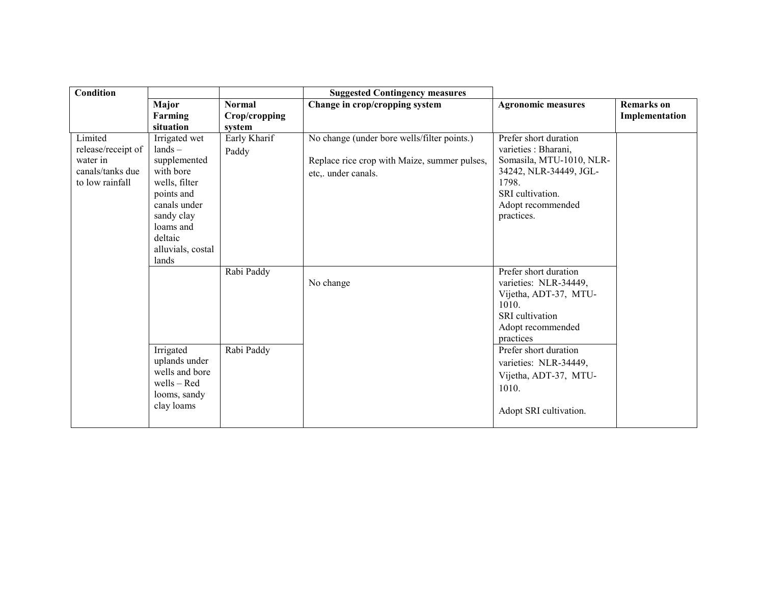| <b>Condition</b>                                                                 |                                                                                                                                                                            |                                | <b>Suggested Contingency measures</b>                                                                              |                                                                                                                                                                                                                                                            |                                     |
|----------------------------------------------------------------------------------|----------------------------------------------------------------------------------------------------------------------------------------------------------------------------|--------------------------------|--------------------------------------------------------------------------------------------------------------------|------------------------------------------------------------------------------------------------------------------------------------------------------------------------------------------------------------------------------------------------------------|-------------------------------------|
|                                                                                  | Major<br>Farming                                                                                                                                                           | <b>Normal</b><br>Crop/cropping | Change in crop/cropping system                                                                                     | <b>Agronomic measures</b>                                                                                                                                                                                                                                  | <b>Remarks</b> on<br>Implementation |
|                                                                                  | situation                                                                                                                                                                  | system                         |                                                                                                                    |                                                                                                                                                                                                                                                            |                                     |
| Limited<br>release/receipt of<br>water in<br>canals/tanks due<br>to low rainfall | Irrigated wet<br>$lands -$<br>supplemented<br>with bore<br>wells, filter<br>points and<br>canals under<br>sandy clay<br>loams and<br>deltaic<br>alluvials, costal<br>lands | Early Kharif<br>Paddy          | No change (under bore wells/filter points.)<br>Replace rice crop with Maize, summer pulses,<br>etc,. under canals. | Prefer short duration<br>varieties : Bharani,<br>Somasila, MTU-1010, NLR-<br>34242, NLR-34449, JGL-<br>1798.<br>SRI cultivation.<br>Adopt recommended<br>practices.                                                                                        |                                     |
|                                                                                  | Irrigated<br>uplands under<br>wells and bore<br>wells - Red<br>looms, sandy<br>clay loams                                                                                  | Rabi Paddy<br>Rabi Paddy       | No change                                                                                                          | Prefer short duration<br>varieties: NLR-34449,<br>Vijetha, ADT-37, MTU-<br>1010.<br><b>SRI</b> cultivation<br>Adopt recommended<br>practices<br>Prefer short duration<br>varieties: NLR-34449,<br>Vijetha, ADT-37, MTU-<br>1010.<br>Adopt SRI cultivation. |                                     |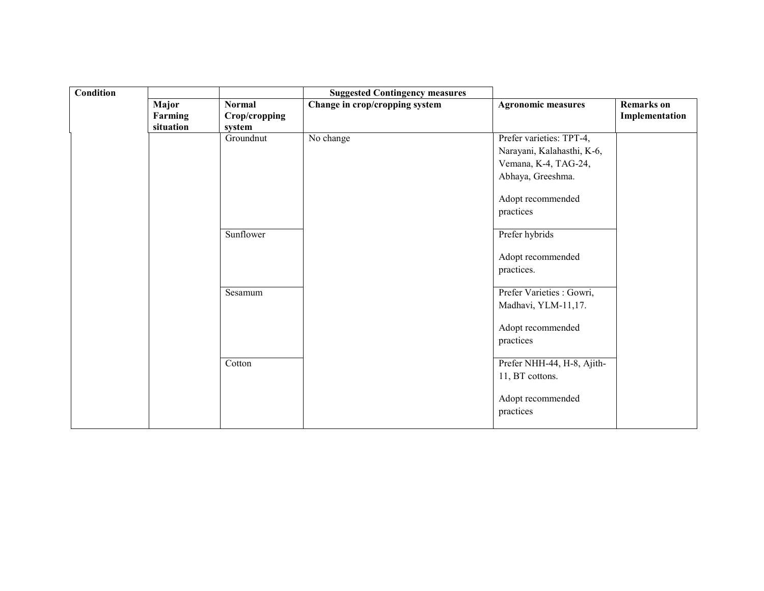| Condition |                               |                                          | <b>Suggested Contingency measures</b> |                                                                                                                                       |                                     |
|-----------|-------------------------------|------------------------------------------|---------------------------------------|---------------------------------------------------------------------------------------------------------------------------------------|-------------------------------------|
|           | Major<br>Farming<br>situation | <b>Normal</b><br>Crop/cropping<br>system | Change in crop/cropping system        | <b>Agronomic measures</b>                                                                                                             | <b>Remarks</b> on<br>Implementation |
|           |                               | Groundnut                                | No change                             | Prefer varieties: TPT-4,<br>Narayani, Kalahasthi, K-6,<br>Vemana, K-4, TAG-24,<br>Abhaya, Greeshma.<br>Adopt recommended<br>practices |                                     |
|           |                               | Sunflower                                |                                       | Prefer hybrids<br>Adopt recommended<br>practices.                                                                                     |                                     |
|           |                               | Sesamum                                  |                                       | Prefer Varieties : Gowri,<br>Madhavi, YLM-11,17.<br>Adopt recommended<br>practices                                                    |                                     |
|           |                               | Cotton                                   |                                       | Prefer NHH-44, H-8, Ajith-<br>11, BT cottons.<br>Adopt recommended<br>practices                                                       |                                     |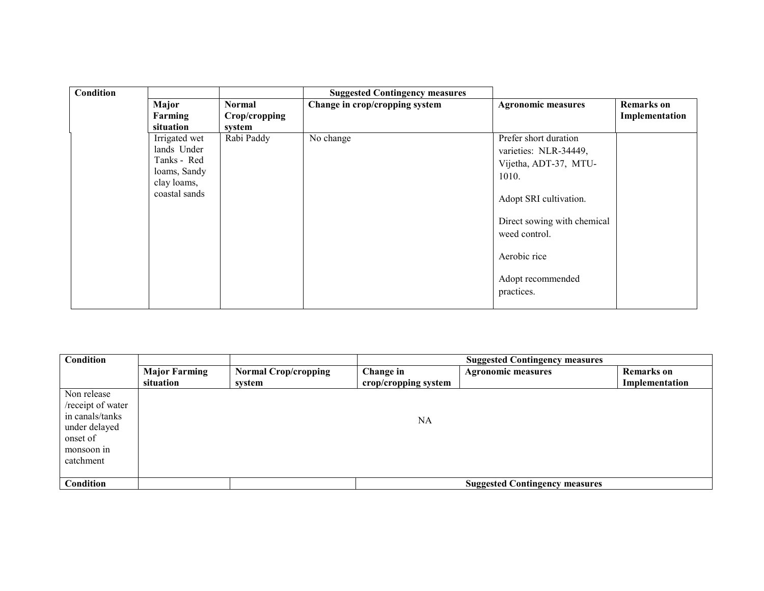| <b>Condition</b> |                                                                                             |                                          | <b>Suggested Contingency measures</b> |                                                                                                                                                                                                               |                                     |
|------------------|---------------------------------------------------------------------------------------------|------------------------------------------|---------------------------------------|---------------------------------------------------------------------------------------------------------------------------------------------------------------------------------------------------------------|-------------------------------------|
|                  | Major<br>Farming<br>situation                                                               | <b>Normal</b><br>Crop/cropping<br>system | Change in crop/cropping system        | <b>Agronomic measures</b>                                                                                                                                                                                     | <b>Remarks</b> on<br>Implementation |
|                  | Irrigated wet<br>lands Under<br>Tanks - Red<br>loams, Sandy<br>clay loams,<br>coastal sands | Rabi Paddy                               | No change                             | Prefer short duration<br>varieties: NLR-34449,<br>Vijetha, ADT-37, MTU-<br>1010.<br>Adopt SRI cultivation.<br>Direct sowing with chemical<br>weed control.<br>Aerobic rice<br>Adopt recommended<br>practices. |                                     |

| Condition                                                  |                      |                             |                      | <b>Suggested Contingency measures</b> |                   |
|------------------------------------------------------------|----------------------|-----------------------------|----------------------|---------------------------------------|-------------------|
|                                                            | <b>Major Farming</b> | <b>Normal Crop/cropping</b> | Change in            | <b>Agronomic measures</b>             | <b>Remarks</b> on |
|                                                            | situation            | system                      | crop/cropping system |                                       | Implementation    |
| Non release<br>/receipt of water                           |                      |                             |                      |                                       |                   |
| in canals/tanks<br>under delayed<br>onset of<br>monsoon in |                      |                             | <b>NA</b>            |                                       |                   |
| catchment                                                  |                      |                             |                      |                                       |                   |
| Condition                                                  |                      |                             |                      | <b>Suggested Contingency measures</b> |                   |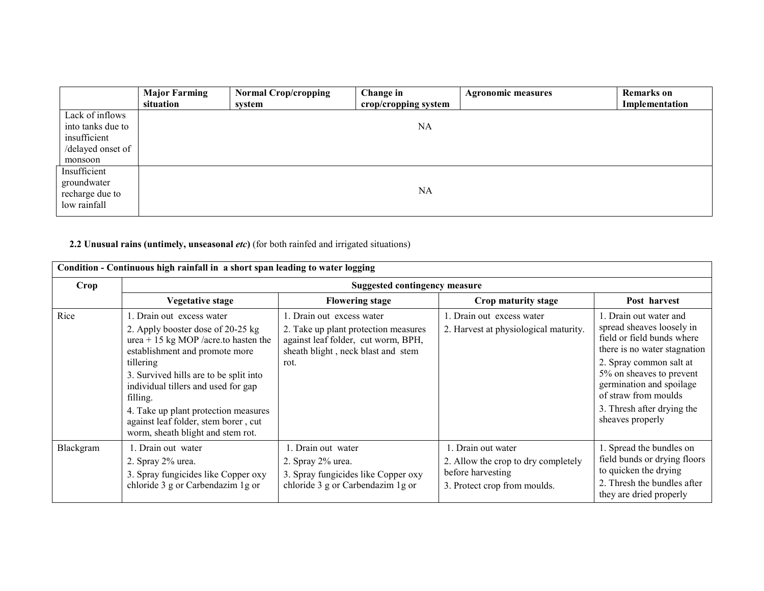|                                                                                      | <b>Major Farming</b><br>situation | <b>Normal Crop/cropping</b><br>system | <b>Change in</b><br>crop/cropping system | <b>Agronomic measures</b> | <b>Remarks</b> on<br>Implementation |
|--------------------------------------------------------------------------------------|-----------------------------------|---------------------------------------|------------------------------------------|---------------------------|-------------------------------------|
| Lack of inflows<br>into tanks due to<br>insufficient<br>/delayed onset of<br>monsoon |                                   |                                       | NA                                       |                           |                                     |
| Insufficient<br>groundwater<br>recharge due to<br>low rainfall                       |                                   |                                       | NA                                       |                           |                                     |

#### 2.2 Unusual rains (untimely, unseasonal *etc*) (for both rainfed and irrigated situations)

| Condition - Continuous high rainfall in a short span leading to water logging |                                                                                                                                                                                                                                                                                                                                                                         |                                                                                                                                                       |                                                                                                                |                                                                                                                                                                                                                                                                                |  |  |  |  |
|-------------------------------------------------------------------------------|-------------------------------------------------------------------------------------------------------------------------------------------------------------------------------------------------------------------------------------------------------------------------------------------------------------------------------------------------------------------------|-------------------------------------------------------------------------------------------------------------------------------------------------------|----------------------------------------------------------------------------------------------------------------|--------------------------------------------------------------------------------------------------------------------------------------------------------------------------------------------------------------------------------------------------------------------------------|--|--|--|--|
| Crop                                                                          | <b>Suggested contingency measure</b>                                                                                                                                                                                                                                                                                                                                    |                                                                                                                                                       |                                                                                                                |                                                                                                                                                                                                                                                                                |  |  |  |  |
|                                                                               | <b>Vegetative stage</b>                                                                                                                                                                                                                                                                                                                                                 | <b>Flowering stage</b>                                                                                                                                | Crop maturity stage                                                                                            | Post harvest                                                                                                                                                                                                                                                                   |  |  |  |  |
| Rice                                                                          | 1. Drain out excess water<br>2. Apply booster dose of 20-25 kg<br>urea + 15 kg MOP /acre.to hasten the<br>establishment and promote more<br>tillering<br>3. Survived hills are to be split into<br>individual tillers and used for gap<br>filling.<br>4. Take up plant protection measures<br>against leaf folder, stem borer, cut<br>worm, sheath blight and stem rot. | . Drain out excess water<br>2. Take up plant protection measures<br>against leaf folder, cut worm, BPH,<br>sheath blight, neck blast and stem<br>rot. | 1. Drain out excess water<br>2. Harvest at physiological maturity.                                             | 1. Drain out water and<br>spread sheaves loosely in<br>field or field bunds where<br>there is no water stagnation<br>2. Spray common salt at<br>5% on sheaves to prevent<br>germination and spoilage<br>of straw from moulds<br>3. Thresh after drying the<br>sheaves properly |  |  |  |  |
| Blackgram                                                                     | 1. Drain out water<br>2. Spray 2% urea.<br>3. Spray fungicides like Copper oxy<br>chloride 3 g or Carbendazim 1 g or                                                                                                                                                                                                                                                    | 1. Drain out water<br>2. Spray 2% urea.<br>3. Spray fungicides like Copper oxy<br>chloride 3 g or Carbendazim 1 g or                                  | 1. Drain out water<br>2. Allow the crop to dry completely<br>before harvesting<br>3. Protect crop from moulds. | 1. Spread the bundles on<br>field bunds or drying floors<br>to quicken the drying<br>2. Thresh the bundles after<br>they are dried properly                                                                                                                                    |  |  |  |  |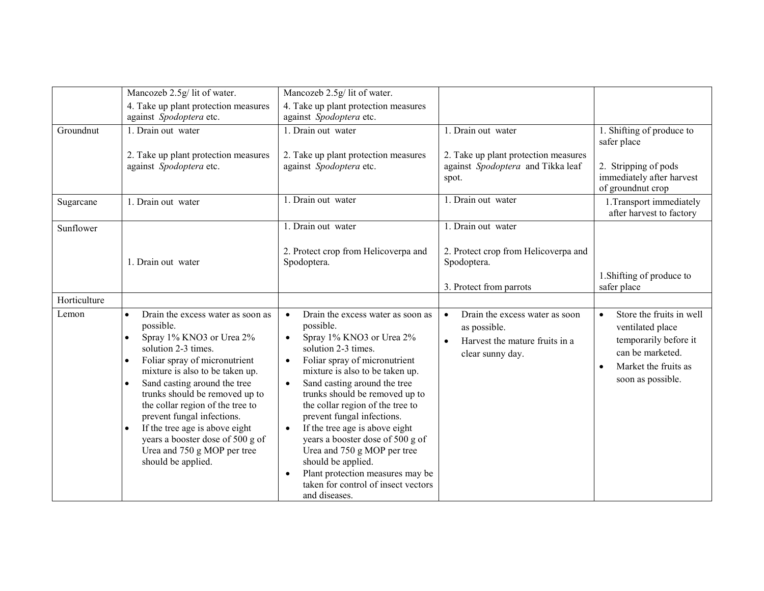|              | Mancozeb 2.5g/ lit of water.                                                                                                                                                                                                                                                                                                                                                                                                                                                                          | Mancozeb 2.5g/ lit of water.                                                                                                                                                                                                                                                                                                                                                                                                                                                                                                                                                                                   |                                                                                                      |                                                                                                                                                                  |
|--------------|-------------------------------------------------------------------------------------------------------------------------------------------------------------------------------------------------------------------------------------------------------------------------------------------------------------------------------------------------------------------------------------------------------------------------------------------------------------------------------------------------------|----------------------------------------------------------------------------------------------------------------------------------------------------------------------------------------------------------------------------------------------------------------------------------------------------------------------------------------------------------------------------------------------------------------------------------------------------------------------------------------------------------------------------------------------------------------------------------------------------------------|------------------------------------------------------------------------------------------------------|------------------------------------------------------------------------------------------------------------------------------------------------------------------|
|              | 4. Take up plant protection measures<br>against Spodoptera etc.                                                                                                                                                                                                                                                                                                                                                                                                                                       | 4. Take up plant protection measures<br>against Spodoptera etc.                                                                                                                                                                                                                                                                                                                                                                                                                                                                                                                                                |                                                                                                      |                                                                                                                                                                  |
| Groundnut    | 1. Drain out water                                                                                                                                                                                                                                                                                                                                                                                                                                                                                    | 1. Drain out water                                                                                                                                                                                                                                                                                                                                                                                                                                                                                                                                                                                             | 1. Drain out water                                                                                   | 1. Shifting of produce to<br>safer place                                                                                                                         |
|              | 2. Take up plant protection measures<br>against Spodoptera etc.                                                                                                                                                                                                                                                                                                                                                                                                                                       | 2. Take up plant protection measures<br>against Spodoptera etc.                                                                                                                                                                                                                                                                                                                                                                                                                                                                                                                                                | 2. Take up plant protection measures<br>against Spodoptera and Tikka leaf<br>spot.                   | 2. Stripping of pods<br>immediately after harvest<br>of groundnut crop                                                                                           |
| Sugarcane    | 1. Drain out water                                                                                                                                                                                                                                                                                                                                                                                                                                                                                    | 1. Drain out water                                                                                                                                                                                                                                                                                                                                                                                                                                                                                                                                                                                             | 1. Drain out water                                                                                   | 1. Transport immediately<br>after harvest to factory                                                                                                             |
| Sunflower    |                                                                                                                                                                                                                                                                                                                                                                                                                                                                                                       | 1. Drain out water                                                                                                                                                                                                                                                                                                                                                                                                                                                                                                                                                                                             | 1. Drain out water                                                                                   |                                                                                                                                                                  |
|              | 1. Drain out water                                                                                                                                                                                                                                                                                                                                                                                                                                                                                    | 2. Protect crop from Helicoverpa and<br>Spodoptera.                                                                                                                                                                                                                                                                                                                                                                                                                                                                                                                                                            | 2. Protect crop from Helicoverpa and<br>Spodoptera.                                                  |                                                                                                                                                                  |
|              |                                                                                                                                                                                                                                                                                                                                                                                                                                                                                                       |                                                                                                                                                                                                                                                                                                                                                                                                                                                                                                                                                                                                                | 3. Protect from parrots                                                                              | 1. Shifting of produce to<br>safer place                                                                                                                         |
| Horticulture |                                                                                                                                                                                                                                                                                                                                                                                                                                                                                                       |                                                                                                                                                                                                                                                                                                                                                                                                                                                                                                                                                                                                                |                                                                                                      |                                                                                                                                                                  |
| Lemon        | Drain the excess water as soon as<br>$\bullet$<br>possible.<br>Spray 1% KNO3 or Urea 2%<br>$\bullet$<br>solution 2-3 times.<br>Foliar spray of micronutrient<br>$\bullet$<br>mixture is also to be taken up.<br>Sand casting around the tree<br>$\bullet$<br>trunks should be removed up to<br>the collar region of the tree to<br>prevent fungal infections.<br>If the tree age is above eight<br>$\bullet$<br>years a booster dose of 500 g of<br>Urea and 750 g MOP per tree<br>should be applied. | Drain the excess water as soon as<br>$\bullet$<br>possible.<br>Spray 1% KNO3 or Urea 2%<br>$\bullet$<br>solution 2-3 times.<br>Foliar spray of micronutrient<br>$\bullet$<br>mixture is also to be taken up.<br>Sand casting around the tree<br>$\bullet$<br>trunks should be removed up to<br>the collar region of the tree to<br>prevent fungal infections.<br>If the tree age is above eight<br>$\bullet$<br>years a booster dose of 500 g of<br>Urea and 750 g MOP per tree<br>should be applied.<br>Plant protection measures may be<br>$\bullet$<br>taken for control of insect vectors<br>and diseases. | Drain the excess water as soon<br>as possible.<br>Harvest the mature fruits in a<br>clear sunny day. | Store the fruits in well<br>$\bullet$<br>ventilated place<br>temporarily before it<br>can be marketed.<br>Market the fruits as<br>$\bullet$<br>soon as possible. |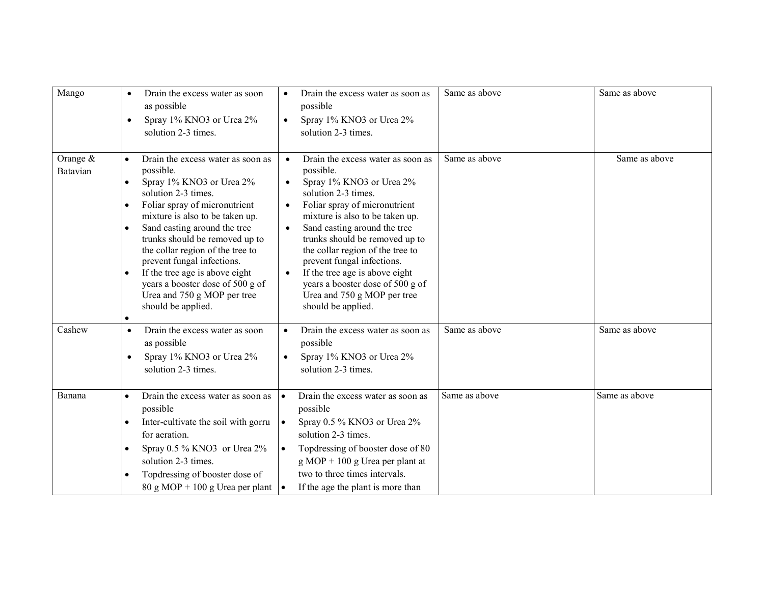| Mango                  | Drain the excess water as soon<br>$\bullet$<br>as possible<br>Spray 1% KNO3 or Urea 2%<br>$\bullet$<br>solution 2-3 times.                                                                                                                                                                                                                                                                                                                                                               | Drain the excess water as soon as<br>$\bullet$<br>possible<br>Spray 1% KNO3 or Urea 2%<br>$\bullet$<br>solution 2-3 times.                                                                                                                                                                                                                                                                                                                                                               | Same as above | Same as above |
|------------------------|------------------------------------------------------------------------------------------------------------------------------------------------------------------------------------------------------------------------------------------------------------------------------------------------------------------------------------------------------------------------------------------------------------------------------------------------------------------------------------------|------------------------------------------------------------------------------------------------------------------------------------------------------------------------------------------------------------------------------------------------------------------------------------------------------------------------------------------------------------------------------------------------------------------------------------------------------------------------------------------|---------------|---------------|
| Orange $&$<br>Batavian | Drain the excess water as soon as<br>$\bullet$<br>possible.<br>Spray 1% KNO3 or Urea 2%<br>$\bullet$<br>solution 2-3 times.<br>Foliar spray of micronutrient<br>mixture is also to be taken up.<br>Sand casting around the tree<br>$\bullet$<br>trunks should be removed up to<br>the collar region of the tree to<br>prevent fungal infections.<br>If the tree age is above eight<br>$\bullet$<br>years a booster dose of 500 g of<br>Urea and 750 g MOP per tree<br>should be applied. | Drain the excess water as soon as<br>possible.<br>Spray 1% KNO3 or Urea 2%<br>$\bullet$<br>solution 2-3 times.<br>Foliar spray of micronutrient<br>$\bullet$<br>mixture is also to be taken up.<br>Sand casting around the tree<br>$\bullet$<br>trunks should be removed up to<br>the collar region of the tree to<br>prevent fungal infections.<br>If the tree age is above eight<br>$\bullet$<br>years a booster dose of 500 g of<br>Urea and 750 g MOP per tree<br>should be applied. | Same as above | Same as above |
| Cashew                 | Drain the excess water as soon<br>$\bullet$<br>as possible<br>Spray 1% KNO3 or Urea 2%<br>$\bullet$<br>solution 2-3 times.                                                                                                                                                                                                                                                                                                                                                               | Drain the excess water as soon as<br>$\bullet$<br>possible<br>Spray 1% KNO3 or Urea 2%<br>$\bullet$<br>solution 2-3 times.                                                                                                                                                                                                                                                                                                                                                               | Same as above | Same as above |
| Banana                 | Drain the excess water as soon as<br>$\bullet$<br>possible<br>Inter-cultivate the soil with gorru<br>$\bullet$<br>for aeration.<br>Spray 0.5 % KNO3 or Urea 2%<br>$\bullet$<br>solution 2-3 times.<br>Topdressing of booster dose of<br>$\bullet$<br>$80 \text{ g} \text{ MOP} + 100 \text{ g} \text{ Urea per plant}$                                                                                                                                                                   | Drain the excess water as soon as<br>$\bullet$<br>possible<br>Spray 0.5 % KNO3 or Urea 2%<br>$\bullet$<br>solution 2-3 times.<br>Topdressing of booster dose of 80<br>$\bullet$<br>$g \text{ MOP} + 100 g \text{ Urea per plant at}$<br>two to three times intervals.<br>If the age the plant is more than<br>$\bullet$                                                                                                                                                                  | Same as above | Same as above |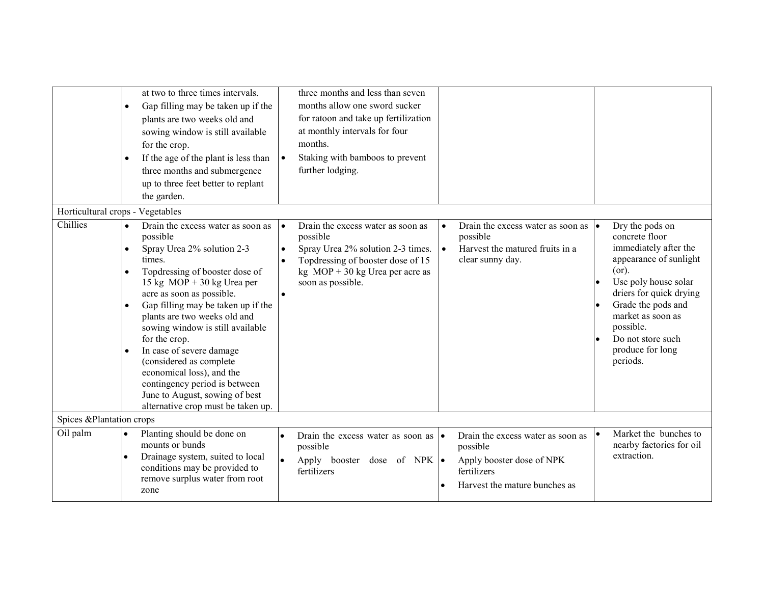|                                  | $\bullet$<br>$\bullet$                                        | at two to three times intervals.<br>Gap filling may be taken up if the<br>plants are two weeks old and<br>sowing window is still available<br>for the crop.<br>If the age of the plant is less than<br>three months and submergence<br>up to three feet better to replant<br>the garden.                                                                                                                                                                                                                     | $\bullet$                                        | three months and less than seven<br>months allow one sword sucker<br>for ratoon and take up fertilization<br>at monthly intervals for four<br>months.<br>Staking with bamboos to prevent<br>further lodging. |                        |                                                                                                                            |                                                                                                                                                                                                                                                               |
|----------------------------------|---------------------------------------------------------------|--------------------------------------------------------------------------------------------------------------------------------------------------------------------------------------------------------------------------------------------------------------------------------------------------------------------------------------------------------------------------------------------------------------------------------------------------------------------------------------------------------------|--------------------------------------------------|--------------------------------------------------------------------------------------------------------------------------------------------------------------------------------------------------------------|------------------------|----------------------------------------------------------------------------------------------------------------------------|---------------------------------------------------------------------------------------------------------------------------------------------------------------------------------------------------------------------------------------------------------------|
| Horticultural crops - Vegetables |                                                               |                                                                                                                                                                                                                                                                                                                                                                                                                                                                                                              |                                                  |                                                                                                                                                                                                              |                        |                                                                                                                            |                                                                                                                                                                                                                                                               |
| Chillies                         | $\bullet$<br>$\bullet$<br>$\bullet$<br>$\bullet$<br>$\bullet$ | Drain the excess water as soon as<br>possible<br>Spray Urea 2% solution 2-3<br>times.<br>Topdressing of booster dose of<br>15 kg $MOP + 30$ kg Urea per<br>acre as soon as possible.<br>Gap filling may be taken up if the<br>plants are two weeks old and<br>sowing window is still available<br>for the crop.<br>In case of severe damage<br>(considered as complete<br>economical loss), and the<br>contingency period is between<br>June to August, sowing of best<br>alternative crop must be taken up. | $\bullet$<br>$\bullet$<br>$\bullet$<br>$\bullet$ | Drain the excess water as soon as<br>possible<br>Spray Urea 2% solution 2-3 times.<br>Topdressing of booster dose of 15<br>kg $MOP + 30$ kg Urea per acre as<br>soon as possible.                            | $\bullet$<br>$\bullet$ | Drain the excess water as soon as $  \bullet  $<br>possible<br>Harvest the matured fruits in a<br>clear sunny day.         | Dry the pods on<br>concrete floor<br>immediately after the<br>appearance of sunlight<br>(or).<br>Use poly house solar<br>driers for quick drying<br>Grade the pods and<br>market as soon as<br>possible.<br>Do not store such<br>produce for long<br>periods. |
| Spices & Plantation crops        |                                                               |                                                                                                                                                                                                                                                                                                                                                                                                                                                                                                              |                                                  |                                                                                                                                                                                                              |                        |                                                                                                                            |                                                                                                                                                                                                                                                               |
| Oil palm                         | $\bullet$<br>$\bullet$                                        | Planting should be done on<br>mounts or bunds<br>Drainage system, suited to local<br>conditions may be provided to<br>remove surplus water from root<br>zone                                                                                                                                                                                                                                                                                                                                                 | $\bullet$<br>$\bullet$                           | Drain the excess water as soon as $  \bullet  $<br>possible<br>Apply booster dose of NPK $\bullet$<br>fertilizers                                                                                            |                        | Drain the excess water as soon as<br>possible<br>Apply booster dose of NPK<br>fertilizers<br>Harvest the mature bunches as | Market the bunches to<br>nearby factories for oil<br>extraction.                                                                                                                                                                                              |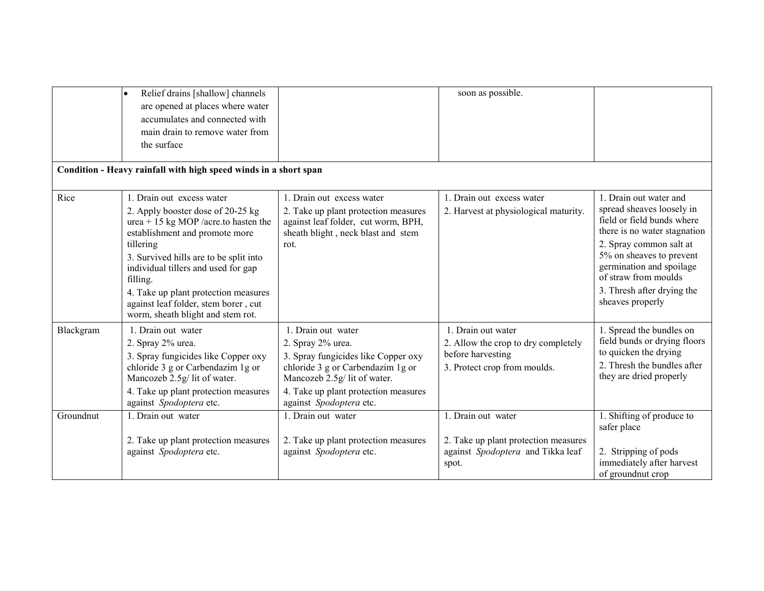|           | Relief drains [shallow] channels<br>$\bullet$<br>are opened at places where water<br>accumulates and connected with<br>main drain to remove water from<br>the surface                                                                                                                                                                                                   |                                                                                                                                                                                                                         | soon as possible.                                                                                              |                                                                                                                                                                                                                                                                                |
|-----------|-------------------------------------------------------------------------------------------------------------------------------------------------------------------------------------------------------------------------------------------------------------------------------------------------------------------------------------------------------------------------|-------------------------------------------------------------------------------------------------------------------------------------------------------------------------------------------------------------------------|----------------------------------------------------------------------------------------------------------------|--------------------------------------------------------------------------------------------------------------------------------------------------------------------------------------------------------------------------------------------------------------------------------|
|           | Condition - Heavy rainfall with high speed winds in a short span                                                                                                                                                                                                                                                                                                        |                                                                                                                                                                                                                         |                                                                                                                |                                                                                                                                                                                                                                                                                |
| Rice      | 1. Drain out excess water<br>2. Apply booster dose of 20-25 kg<br>urea + 15 kg MOP /acre.to hasten the<br>establishment and promote more<br>tillering<br>3. Survived hills are to be split into<br>individual tillers and used for gap<br>filling.<br>4. Take up plant protection measures<br>against leaf folder, stem borer, cut<br>worm, sheath blight and stem rot. | 1. Drain out excess water<br>2. Take up plant protection measures<br>against leaf folder, cut worm, BPH,<br>sheath blight, neck blast and stem<br>rot.                                                                  | 1. Drain out excess water<br>2. Harvest at physiological maturity.                                             | 1. Drain out water and<br>spread sheaves loosely in<br>field or field bunds where<br>there is no water stagnation<br>2. Spray common salt at<br>5% on sheaves to prevent<br>germination and spoilage<br>of straw from moulds<br>3. Thresh after drying the<br>sheaves properly |
| Blackgram | 1. Drain out water<br>2. Spray 2% urea.<br>3. Spray fungicides like Copper oxy<br>chloride 3 g or Carbendazim 1 g or<br>Mancozeb 2.5g/ lit of water.<br>4. Take up plant protection measures<br>against Spodoptera etc.                                                                                                                                                 | 1. Drain out water<br>2. Spray 2% urea.<br>3. Spray fungicides like Copper oxy<br>chloride 3 g or Carbendazim 1 g or<br>Mancozeb 2.5g/ lit of water.<br>4. Take up plant protection measures<br>against Spodoptera etc. | 1. Drain out water<br>2. Allow the crop to dry completely<br>before harvesting<br>3. Protect crop from moulds. | 1. Spread the bundles on<br>field bunds or drying floors<br>to quicken the drying<br>2. Thresh the bundles after<br>they are dried properly                                                                                                                                    |
| Groundnut | 1. Drain out water<br>2. Take up plant protection measures<br>against Spodoptera etc.                                                                                                                                                                                                                                                                                   | 1. Drain out water<br>2. Take up plant protection measures<br>against Spodoptera etc.                                                                                                                                   | 1. Drain out water<br>2. Take up plant protection measures<br>against Spodoptera and Tikka leaf<br>spot.       | 1. Shifting of produce to<br>safer place<br>2. Stripping of pods<br>immediately after harvest<br>of ground nut crop                                                                                                                                                            |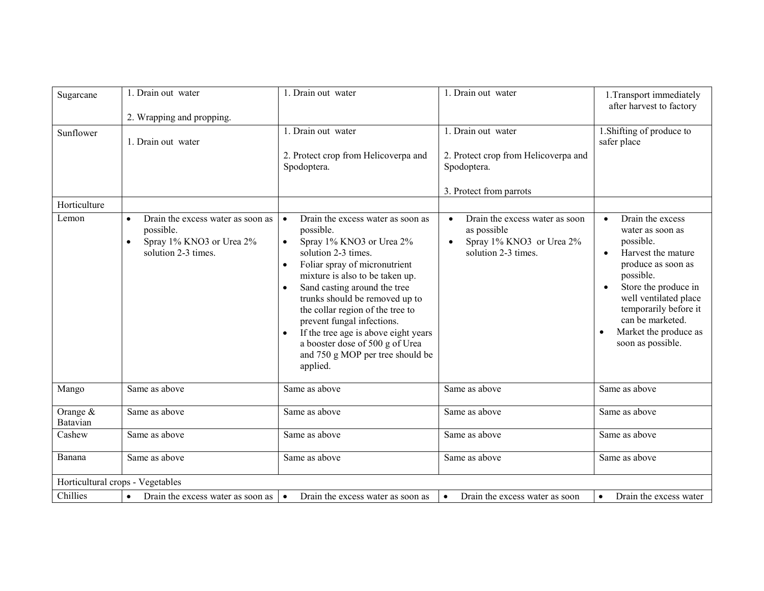| Sugarcane                        | 1. Drain out water<br>2. Wrapping and propping.                                                                             | 1. Drain out water                                                                                                                                                                                                                                                                                                                                                                                                                                                                                    | 1. Drain out water                                                                                            | 1. Transport immediately<br>after harvest to factory                                                                                                                                                                                                                             |
|----------------------------------|-----------------------------------------------------------------------------------------------------------------------------|-------------------------------------------------------------------------------------------------------------------------------------------------------------------------------------------------------------------------------------------------------------------------------------------------------------------------------------------------------------------------------------------------------------------------------------------------------------------------------------------------------|---------------------------------------------------------------------------------------------------------------|----------------------------------------------------------------------------------------------------------------------------------------------------------------------------------------------------------------------------------------------------------------------------------|
| Sunflower                        | 1. Drain out water                                                                                                          | $\overline{1}$ . Drain out water<br>2. Protect crop from Helicoverpa and<br>Spodoptera.                                                                                                                                                                                                                                                                                                                                                                                                               | 1. Drain out water<br>2. Protect crop from Helicoverpa and<br>Spodoptera.<br>3. Protect from parrots          | 1. Shifting of produce to<br>safer place                                                                                                                                                                                                                                         |
| Horticulture                     |                                                                                                                             |                                                                                                                                                                                                                                                                                                                                                                                                                                                                                                       |                                                                                                               |                                                                                                                                                                                                                                                                                  |
| Lemon                            | Drain the excess water as soon as<br>$\bullet$<br>possible.<br>Spray 1% KNO3 or Urea 2%<br>$\bullet$<br>solution 2-3 times. | Drain the excess water as soon as<br>$\bullet$<br>possible.<br>Spray 1% KNO3 or Urea 2%<br>$\bullet$<br>solution 2-3 times.<br>Foliar spray of micronutrient<br>$\bullet$<br>mixture is also to be taken up.<br>Sand casting around the tree<br>$\bullet$<br>trunks should be removed up to<br>the collar region of the tree to<br>prevent fungal infections.<br>If the tree age is above eight years<br>$\bullet$<br>a booster dose of 500 g of Urea<br>and 750 g MOP per tree should be<br>applied. | Drain the excess water as soon<br>$\bullet$<br>as possible<br>Spray 1% KNO3 or Urea 2%<br>solution 2-3 times. | Drain the excess<br>$\bullet$<br>water as soon as<br>possible.<br>Harvest the mature<br>$\bullet$<br>produce as soon as<br>possible.<br>Store the produce in<br>well ventilated place<br>temporarily before it<br>can be marketed.<br>Market the produce as<br>soon as possible. |
| Mango                            | Same as above                                                                                                               | Same as above                                                                                                                                                                                                                                                                                                                                                                                                                                                                                         | Same as above                                                                                                 | Same as above                                                                                                                                                                                                                                                                    |
| Orange &<br>Batavian             | Same as above                                                                                                               | Same as above                                                                                                                                                                                                                                                                                                                                                                                                                                                                                         | Same as above                                                                                                 | Same as above                                                                                                                                                                                                                                                                    |
| Cashew                           | Same as above                                                                                                               | Same as above                                                                                                                                                                                                                                                                                                                                                                                                                                                                                         | Same as above                                                                                                 | Same as above                                                                                                                                                                                                                                                                    |
| Banana                           | Same as above                                                                                                               | Same as above                                                                                                                                                                                                                                                                                                                                                                                                                                                                                         | Same as above                                                                                                 | Same as above                                                                                                                                                                                                                                                                    |
| Horticultural crops - Vegetables |                                                                                                                             |                                                                                                                                                                                                                                                                                                                                                                                                                                                                                                       |                                                                                                               |                                                                                                                                                                                                                                                                                  |
| Chillies                         | Drain the excess water as soon as<br>$\bullet$                                                                              | Drain the excess water as soon as<br>$\bullet$                                                                                                                                                                                                                                                                                                                                                                                                                                                        | Drain the excess water as soon<br>$\bullet$                                                                   | Drain the excess water<br>$\bullet$                                                                                                                                                                                                                                              |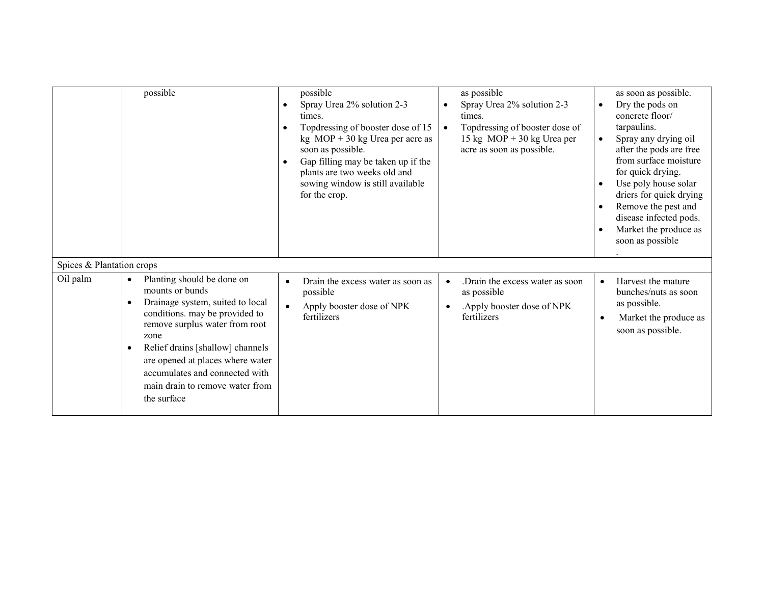|                           | possible                                                                                                                                                                                                                                                                                                                                            | possible<br>Spray Urea 2% solution 2-3<br>$\bullet$<br>times.<br>Topdressing of booster dose of 15<br>$\bullet$<br>kg $MOP + 30$ kg Urea per acre as<br>soon as possible.<br>Gap filling may be taken up if the<br>$\bullet$<br>plants are two weeks old and<br>sowing window is still available<br>for the crop. | as possible<br>Spray Urea 2% solution 2-3<br>times.<br>Topdressing of booster dose of<br>15 kg MOP + 30 kg Urea per<br>acre as soon as possible. | $\bullet$<br>$\bullet$<br>$\bullet$ | as soon as possible.<br>Dry the pods on<br>concrete floor/<br>tarpaulins.<br>Spray any drying oil<br>after the pods are free<br>from surface moisture<br>for quick drying.<br>Use poly house solar<br>driers for quick drying<br>Remove the pest and<br>disease infected pods.<br>Market the produce as<br>soon as possible |
|---------------------------|-----------------------------------------------------------------------------------------------------------------------------------------------------------------------------------------------------------------------------------------------------------------------------------------------------------------------------------------------------|-------------------------------------------------------------------------------------------------------------------------------------------------------------------------------------------------------------------------------------------------------------------------------------------------------------------|--------------------------------------------------------------------------------------------------------------------------------------------------|-------------------------------------|-----------------------------------------------------------------------------------------------------------------------------------------------------------------------------------------------------------------------------------------------------------------------------------------------------------------------------|
| Spices & Plantation crops |                                                                                                                                                                                                                                                                                                                                                     |                                                                                                                                                                                                                                                                                                                   |                                                                                                                                                  |                                     |                                                                                                                                                                                                                                                                                                                             |
| Oil palm                  | Planting should be done on<br>mounts or bunds<br>Drainage system, suited to local<br>$\bullet$<br>conditions. may be provided to<br>remove surplus water from root<br>zone<br>Relief drains [shallow] channels<br>$\bullet$<br>are opened at places where water<br>accumulates and connected with<br>main drain to remove water from<br>the surface | Drain the excess water as soon as<br>$\bullet$<br>possible<br>Apply booster dose of NPK<br>$\bullet$<br>fertilizers                                                                                                                                                                                               | Drain the excess water as soon<br>as possible<br>. Apply booster dose of NPK<br>fertilizers                                                      | $\bullet$<br>$\bullet$              | Harvest the mature<br>bunches/nuts as soon<br>as possible.<br>Market the produce as<br>soon as possible.                                                                                                                                                                                                                    |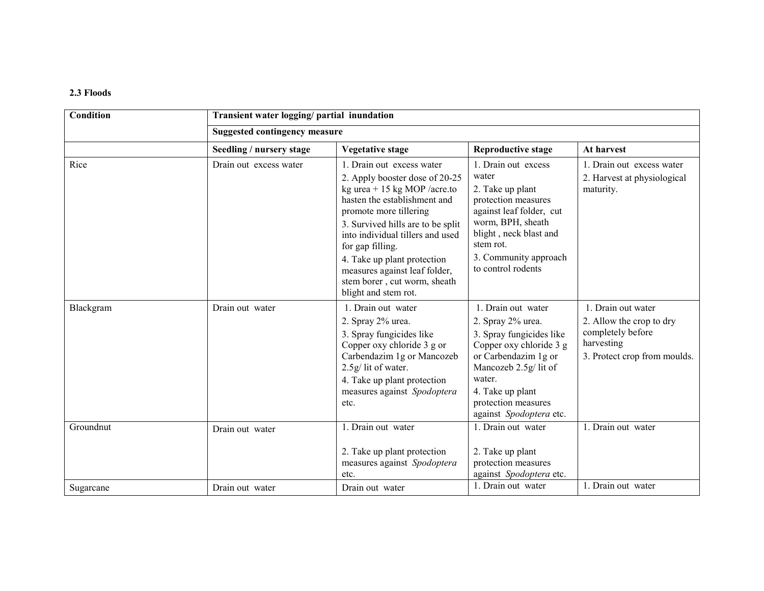### 2.3 Floods

| Condition | Transient water logging/ partial inundation<br><b>Suggested contingency measure</b> |                                                                                                                                                                                                                                                                                                                                                                            |                                                                                                                                                                                                                                 |                                                                                                                   |  |  |
|-----------|-------------------------------------------------------------------------------------|----------------------------------------------------------------------------------------------------------------------------------------------------------------------------------------------------------------------------------------------------------------------------------------------------------------------------------------------------------------------------|---------------------------------------------------------------------------------------------------------------------------------------------------------------------------------------------------------------------------------|-------------------------------------------------------------------------------------------------------------------|--|--|
|           |                                                                                     |                                                                                                                                                                                                                                                                                                                                                                            |                                                                                                                                                                                                                                 |                                                                                                                   |  |  |
|           | Seedling / nursery stage                                                            | Vegetative stage                                                                                                                                                                                                                                                                                                                                                           | <b>Reproductive stage</b>                                                                                                                                                                                                       | At harvest                                                                                                        |  |  |
| Rice      | Drain out excess water                                                              | 1. Drain out excess water<br>2. Apply booster dose of 20-25<br>kg urea + 15 kg MOP /acre.to<br>hasten the establishment and<br>promote more tillering<br>3. Survived hills are to be split<br>into individual tillers and used<br>for gap filling.<br>4. Take up plant protection<br>measures against leaf folder,<br>stem borer, cut worm, sheath<br>blight and stem rot. | 1. Drain out excess<br>water<br>2. Take up plant<br>protection measures<br>against leaf folder, cut<br>worm, BPH, sheath<br>blight, neck blast and<br>stem rot.<br>3. Community approach<br>to control rodents                  | 1. Drain out excess water<br>2. Harvest at physiological<br>maturity.                                             |  |  |
| Blackgram | Drain out water                                                                     | 1. Drain out water<br>2. Spray 2% urea.<br>3. Spray fungicides like<br>Copper oxy chloride 3 g or<br>Carbendazim 1g or Mancozeb<br>2.5g/lit of water.<br>4. Take up plant protection<br>measures against Spodoptera<br>etc.                                                                                                                                                | 1. Drain out water<br>2. Spray 2% urea.<br>3. Spray fungicides like<br>Copper oxy chloride 3 g<br>or Carbendazim 1g or<br>Mancozeb 2.5g/ lit of<br>water.<br>4. Take up plant<br>protection measures<br>against Spodoptera etc. | 1. Drain out water<br>2. Allow the crop to dry<br>completely before<br>harvesting<br>3. Protect crop from moulds. |  |  |
| Groundnut | Drain out water                                                                     | 1. Drain out water<br>2. Take up plant protection<br>measures against Spodoptera<br>etc.                                                                                                                                                                                                                                                                                   | 1. Drain out water<br>2. Take up plant<br>protection measures<br>against Spodoptera etc.                                                                                                                                        | 1. Drain out water                                                                                                |  |  |
| Sugarcane | Drain out water                                                                     | Drain out water                                                                                                                                                                                                                                                                                                                                                            | 1. Drain out water                                                                                                                                                                                                              | 1. Drain out water                                                                                                |  |  |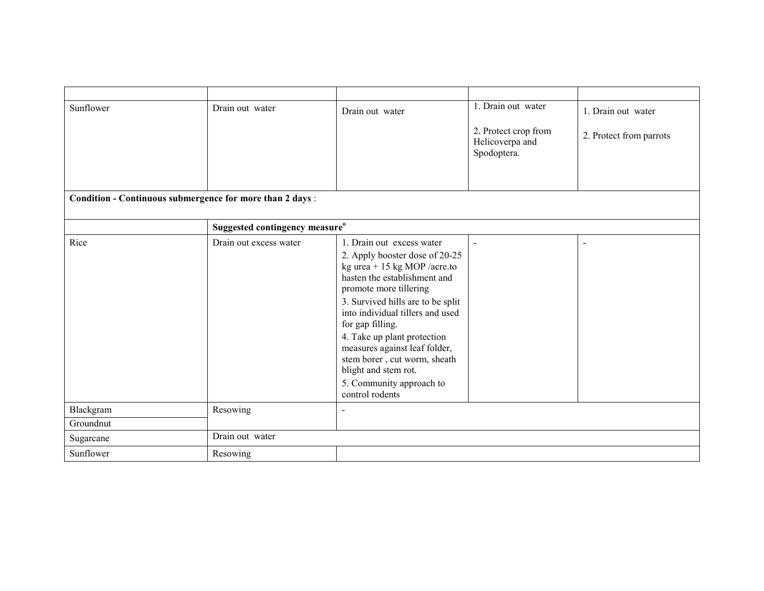| Sunflower                                                | Drain out water                            | Drain out water                                                                                                                                                                                                                                                                                                                                                                                                           | 1. Drain out water                                     | 1. Drain out water      |
|----------------------------------------------------------|--------------------------------------------|---------------------------------------------------------------------------------------------------------------------------------------------------------------------------------------------------------------------------------------------------------------------------------------------------------------------------------------------------------------------------------------------------------------------------|--------------------------------------------------------|-------------------------|
|                                                          |                                            |                                                                                                                                                                                                                                                                                                                                                                                                                           | 2. Protect crop from<br>Helicoverpa and<br>Spodoptera. | 2. Protect from parrots |
|                                                          |                                            |                                                                                                                                                                                                                                                                                                                                                                                                                           |                                                        |                         |
| Condition - Continuous submergence for more than 2 days: |                                            |                                                                                                                                                                                                                                                                                                                                                                                                                           |                                                        |                         |
|                                                          | Suggested contingency measure <sup>o</sup> |                                                                                                                                                                                                                                                                                                                                                                                                                           |                                                        |                         |
| Rice                                                     | Drain out excess water                     | 1. Drain out excess water<br>2. Apply booster dose of 20-25<br>kg urea + 15 kg MOP /acre.to<br>hasten the establishment and<br>promote more tillering<br>3. Survived hills are to be split<br>into individual tillers and used<br>for gap filling.<br>4. Take up plant protection<br>measures against leaf folder,<br>stem borer, cut worm, sheath<br>blight and stem rot.<br>5. Community approach to<br>control rodents | $\overline{\phantom{a}}$                               |                         |
| Blackgram                                                | Resowing                                   |                                                                                                                                                                                                                                                                                                                                                                                                                           |                                                        |                         |
| Groundnut                                                |                                            |                                                                                                                                                                                                                                                                                                                                                                                                                           |                                                        |                         |
| Sugarcane                                                | Drain out water                            |                                                                                                                                                                                                                                                                                                                                                                                                                           |                                                        |                         |
| Sunflower                                                | Resowing                                   |                                                                                                                                                                                                                                                                                                                                                                                                                           |                                                        |                         |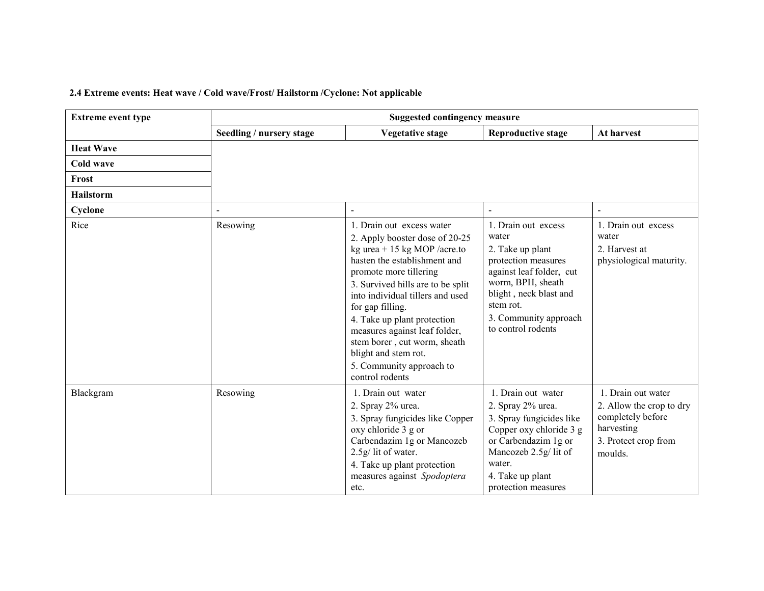## 2.4 Extreme events: Heat wave / Cold wave/Frost/ Hailstorm /Cyclone: Not applicable

| <b>Extreme event type</b> |                          | <b>Suggested contingency measure</b>                                                                                                                                                                                                                                                                                                                                                                                      |                                                                                                                                                                                                                |                                                                                                                      |
|---------------------------|--------------------------|---------------------------------------------------------------------------------------------------------------------------------------------------------------------------------------------------------------------------------------------------------------------------------------------------------------------------------------------------------------------------------------------------------------------------|----------------------------------------------------------------------------------------------------------------------------------------------------------------------------------------------------------------|----------------------------------------------------------------------------------------------------------------------|
|                           | Seedling / nursery stage | <b>Vegetative stage</b>                                                                                                                                                                                                                                                                                                                                                                                                   | <b>Reproductive stage</b>                                                                                                                                                                                      | At harvest                                                                                                           |
| <b>Heat Wave</b>          |                          |                                                                                                                                                                                                                                                                                                                                                                                                                           |                                                                                                                                                                                                                |                                                                                                                      |
| Cold wave                 |                          |                                                                                                                                                                                                                                                                                                                                                                                                                           |                                                                                                                                                                                                                |                                                                                                                      |
| Frost                     |                          |                                                                                                                                                                                                                                                                                                                                                                                                                           |                                                                                                                                                                                                                |                                                                                                                      |
| <b>Hailstorm</b>          |                          |                                                                                                                                                                                                                                                                                                                                                                                                                           |                                                                                                                                                                                                                |                                                                                                                      |
| Cyclone                   |                          |                                                                                                                                                                                                                                                                                                                                                                                                                           |                                                                                                                                                                                                                |                                                                                                                      |
| Rice                      | Resowing                 | 1. Drain out excess water<br>2. Apply booster dose of 20-25<br>kg urea + 15 kg MOP /acre.to<br>hasten the establishment and<br>promote more tillering<br>3. Survived hills are to be split<br>into individual tillers and used<br>for gap filling.<br>4. Take up plant protection<br>measures against leaf folder,<br>stem borer, cut worm, sheath<br>blight and stem rot.<br>5. Community approach to<br>control rodents | 1. Drain out excess<br>water<br>2. Take up plant<br>protection measures<br>against leaf folder, cut<br>worm, BPH, sheath<br>blight, neck blast and<br>stem rot.<br>3. Community approach<br>to control rodents | 1. Drain out excess<br>water<br>2. Harvest at<br>physiological maturity.                                             |
| Blackgram                 | Resowing                 | 1. Drain out water<br>2. Spray 2% urea.<br>3. Spray fungicides like Copper<br>oxy chloride 3 g or<br>Carbendazim 1g or Mancozeb<br>2.5g/ lit of water.<br>4. Take up plant protection<br>measures against Spodoptera<br>etc.                                                                                                                                                                                              | 1. Drain out water<br>2. Spray 2% urea.<br>3. Spray fungicides like<br>Copper oxy chloride 3 g<br>or Carbendazim 1g or<br>Mancozeb 2.5g/lit of<br>water.<br>4. Take up plant<br>protection measures            | 1. Drain out water<br>2. Allow the crop to dry<br>completely before<br>harvesting<br>3. Protect crop from<br>moulds. |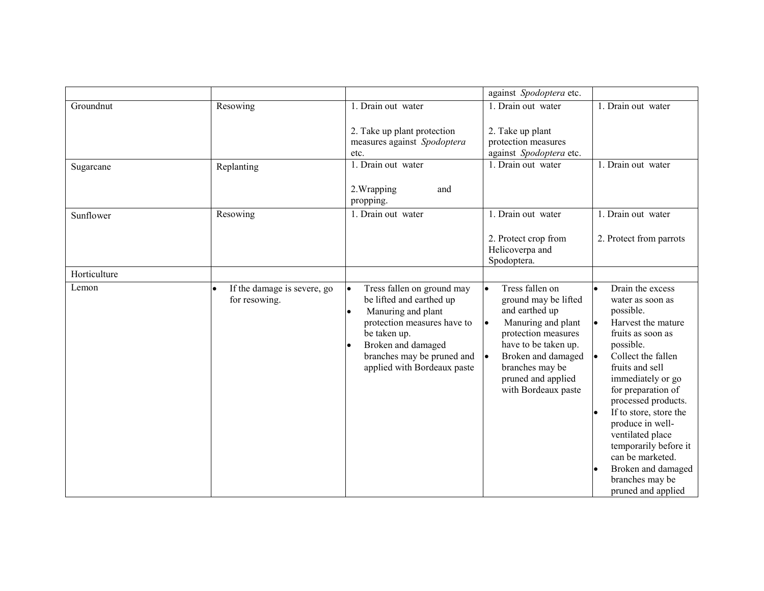|              |                                              |                                                                                                                                                                                                                | against Spodoptera etc.                                                                                                                                                                                                     |                                                                                                                                                                                                                                                                                                                                                                                                    |
|--------------|----------------------------------------------|----------------------------------------------------------------------------------------------------------------------------------------------------------------------------------------------------------------|-----------------------------------------------------------------------------------------------------------------------------------------------------------------------------------------------------------------------------|----------------------------------------------------------------------------------------------------------------------------------------------------------------------------------------------------------------------------------------------------------------------------------------------------------------------------------------------------------------------------------------------------|
| Groundnut    | Resowing                                     | 1. Drain out water                                                                                                                                                                                             | 1. Drain out water                                                                                                                                                                                                          | 1. Drain out water                                                                                                                                                                                                                                                                                                                                                                                 |
|              |                                              | 2. Take up plant protection<br>measures against Spodoptera<br>etc.                                                                                                                                             | 2. Take up plant<br>protection measures<br>against Spodoptera etc.                                                                                                                                                          |                                                                                                                                                                                                                                                                                                                                                                                                    |
| Sugarcane    | Replanting                                   | 1. Drain out water                                                                                                                                                                                             | 1. Drain out water                                                                                                                                                                                                          | 1. Drain out water                                                                                                                                                                                                                                                                                                                                                                                 |
|              |                                              | and<br>2. Wrapping<br>propping.                                                                                                                                                                                |                                                                                                                                                                                                                             |                                                                                                                                                                                                                                                                                                                                                                                                    |
| Sunflower    | Resowing                                     | 1. Drain out water                                                                                                                                                                                             | 1. Drain out water                                                                                                                                                                                                          | 1. Drain out water                                                                                                                                                                                                                                                                                                                                                                                 |
|              |                                              |                                                                                                                                                                                                                | 2. Protect crop from<br>Helicoverpa and<br>Spodoptera.                                                                                                                                                                      | 2. Protect from parrots                                                                                                                                                                                                                                                                                                                                                                            |
| Horticulture |                                              |                                                                                                                                                                                                                |                                                                                                                                                                                                                             |                                                                                                                                                                                                                                                                                                                                                                                                    |
| Lemon        | If the damage is severe, go<br>for resowing. | Tress fallen on ground may<br>be lifted and earthed up<br>Manuring and plant<br>protection measures have to<br>be taken up.<br>Broken and damaged<br>branches may be pruned and<br>applied with Bordeaux paste | Tress fallen on<br>ground may be lifted<br>and earthed up<br>Manuring and plant<br>protection measures<br>have to be taken up.<br>Broken and damaged<br>le.<br>branches may be<br>pruned and applied<br>with Bordeaux paste | Drain the excess<br>water as soon as<br>possible.<br>Harvest the mature<br>fruits as soon as<br>possible.<br>Collect the fallen<br>fruits and sell<br>immediately or go<br>for preparation of<br>processed products.<br>If to store, store the<br>produce in well-<br>ventilated place<br>temporarily before it<br>can be marketed.<br>Broken and damaged<br>branches may be<br>pruned and applied |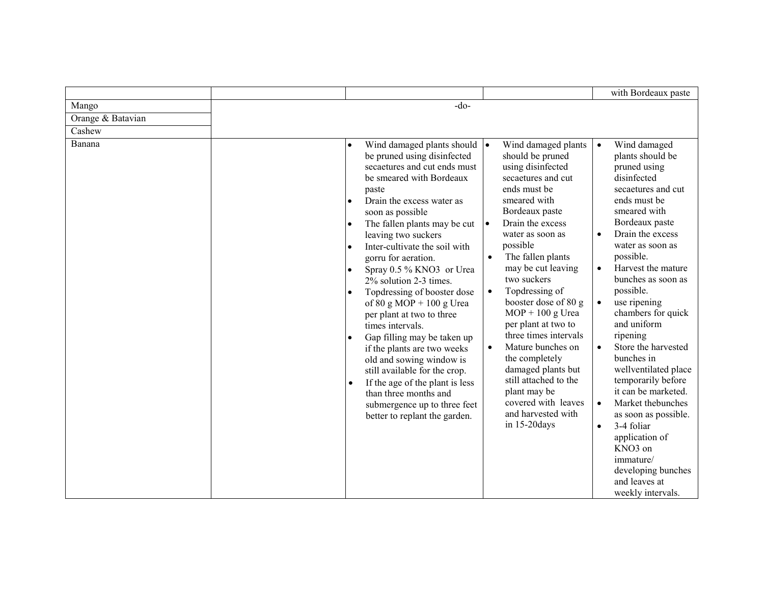|                   |                                                                                                                                                                                                                                                                                                                                                                                                                                                                                                                                                                                                                                                                                                                                                                                                                                            |                                                                                                                                                                                                                                                                                                                                                                                                                                                                                                                                                                              | with Bordeaux paste                                                                                                                                                                                                                                                                                                                                                                                                                                                                                                                                                                                                                                                             |
|-------------------|--------------------------------------------------------------------------------------------------------------------------------------------------------------------------------------------------------------------------------------------------------------------------------------------------------------------------------------------------------------------------------------------------------------------------------------------------------------------------------------------------------------------------------------------------------------------------------------------------------------------------------------------------------------------------------------------------------------------------------------------------------------------------------------------------------------------------------------------|------------------------------------------------------------------------------------------------------------------------------------------------------------------------------------------------------------------------------------------------------------------------------------------------------------------------------------------------------------------------------------------------------------------------------------------------------------------------------------------------------------------------------------------------------------------------------|---------------------------------------------------------------------------------------------------------------------------------------------------------------------------------------------------------------------------------------------------------------------------------------------------------------------------------------------------------------------------------------------------------------------------------------------------------------------------------------------------------------------------------------------------------------------------------------------------------------------------------------------------------------------------------|
| Mango             | $-do-$                                                                                                                                                                                                                                                                                                                                                                                                                                                                                                                                                                                                                                                                                                                                                                                                                                     |                                                                                                                                                                                                                                                                                                                                                                                                                                                                                                                                                                              |                                                                                                                                                                                                                                                                                                                                                                                                                                                                                                                                                                                                                                                                                 |
| Orange & Batavian |                                                                                                                                                                                                                                                                                                                                                                                                                                                                                                                                                                                                                                                                                                                                                                                                                                            |                                                                                                                                                                                                                                                                                                                                                                                                                                                                                                                                                                              |                                                                                                                                                                                                                                                                                                                                                                                                                                                                                                                                                                                                                                                                                 |
| Cashew            |                                                                                                                                                                                                                                                                                                                                                                                                                                                                                                                                                                                                                                                                                                                                                                                                                                            |                                                                                                                                                                                                                                                                                                                                                                                                                                                                                                                                                                              |                                                                                                                                                                                                                                                                                                                                                                                                                                                                                                                                                                                                                                                                                 |
| Banana            | Wind damaged plants should $\bullet$<br>$\bullet$<br>be pruned using disinfected<br>secaetures and cut ends must<br>be smeared with Bordeaux<br>paste<br>Drain the excess water as<br>$\bullet$<br>soon as possible<br>The fallen plants may be cut<br>$\bullet$<br>leaving two suckers<br>Inter-cultivate the soil with<br>$\bullet$<br>gorru for aeration.<br>Spray 0.5 % KNO3 or Urea<br>$\bullet$<br>2% solution 2-3 times.<br>Topdressing of booster dose<br>$\bullet$<br>of 80 g MOP + 100 g Urea<br>per plant at two to three<br>times intervals.<br>Gap filling may be taken up<br>$\bullet$<br>if the plants are two weeks<br>old and sowing window is<br>still available for the crop.<br>If the age of the plant is less<br>$\bullet$<br>than three months and<br>submergence up to three feet<br>better to replant the garden. | Wind damaged plants<br>should be pruned<br>using disinfected<br>secaetures and cut<br>ends must be<br>smeared with<br>Bordeaux paste<br>Drain the excess<br>water as soon as<br>possible<br>The fallen plants<br>$\bullet$<br>may be cut leaving<br>two suckers<br>Topdressing of<br>$\bullet$<br>booster dose of 80 g<br>$MOP + 100$ g Urea<br>per plant at two to<br>three times intervals<br>Mature bunches on<br>$\bullet$<br>the completely<br>damaged plants but<br>still attached to the<br>plant may be<br>covered with leaves<br>and harvested with<br>in 15-20days | Wind damaged<br>$\bullet$<br>plants should be<br>pruned using<br>disinfected<br>secaetures and cut<br>ends must be<br>smeared with<br>Bordeaux paste<br>Drain the excess<br>$\bullet$<br>water as soon as<br>possible.<br>Harvest the mature<br>bunches as soon as<br>possible.<br>use ripening<br>$\bullet$<br>chambers for quick<br>and uniform<br>ripening<br>Store the harvested<br>$\bullet$<br>bunches in<br>wellventilated place<br>temporarily before<br>it can be marketed.<br>Market thebunches<br>$\bullet$<br>as soon as possible.<br>3-4 foliar<br>$\bullet$<br>application of<br>KNO3 on<br>immature/<br>developing bunches<br>and leaves at<br>weekly intervals. |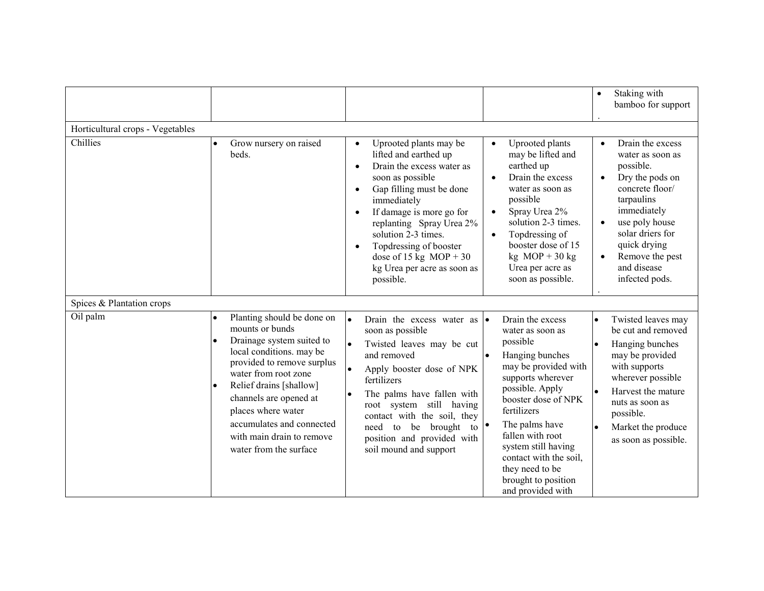|                                  |                                                                                                                                                                                                                                                                                                                             |                                                                                                                                                                                                                                                                                                                                                                                                                                                                                                                                                                                                                                                                                                                         | Staking with<br>$\bullet$<br>bamboo for support                                                                                                                                                                                                          |
|----------------------------------|-----------------------------------------------------------------------------------------------------------------------------------------------------------------------------------------------------------------------------------------------------------------------------------------------------------------------------|-------------------------------------------------------------------------------------------------------------------------------------------------------------------------------------------------------------------------------------------------------------------------------------------------------------------------------------------------------------------------------------------------------------------------------------------------------------------------------------------------------------------------------------------------------------------------------------------------------------------------------------------------------------------------------------------------------------------------|----------------------------------------------------------------------------------------------------------------------------------------------------------------------------------------------------------------------------------------------------------|
| Horticultural crops - Vegetables |                                                                                                                                                                                                                                                                                                                             |                                                                                                                                                                                                                                                                                                                                                                                                                                                                                                                                                                                                                                                                                                                         |                                                                                                                                                                                                                                                          |
| Chillies                         | Grow nursery on raised<br>beds.                                                                                                                                                                                                                                                                                             | Uprooted plants may be<br>Uprooted plants<br>$\bullet$<br>$\bullet$<br>lifted and earthed up<br>may be lifted and<br>Drain the excess water as<br>earthed up<br>$\bullet$<br>Drain the excess<br>soon as possible<br>$\bullet$<br>Gap filling must be done<br>water as soon as<br>$\bullet$<br>possible<br>immediately<br>Spray Urea 2%<br>If damage is more go for<br>$\bullet$<br>$\bullet$<br>solution 2-3 times.<br>replanting Spray Urea 2%<br>solution 2-3 times.<br>Topdressing of<br>$\bullet$<br>booster dose of 15<br>Topdressing of booster<br>$\bullet$<br>$kg \text{MOP} + 30 \text{ kg}$<br>dose of 15 kg $MOP + 30$<br>Urea per acre as<br>kg Urea per acre as soon as<br>soon as possible.<br>possible. | Drain the excess<br>$\bullet$<br>water as soon as<br>possible.<br>Dry the pods on<br>concrete floor/<br>tarpaulins<br>immediately<br>use poly house<br>solar driers for<br>quick drying<br>Remove the pest<br>$\bullet$<br>and disease<br>infected pods. |
| Spices & Plantation crops        |                                                                                                                                                                                                                                                                                                                             |                                                                                                                                                                                                                                                                                                                                                                                                                                                                                                                                                                                                                                                                                                                         |                                                                                                                                                                                                                                                          |
| Oil palm                         | Planting should be done on<br>mounts or bunds<br>Drainage system suited to<br>local conditions. may be<br>provided to remove surplus<br>water from root zone<br>Relief drains [shallow]<br>channels are opened at<br>places where water<br>accumulates and connected<br>with main drain to remove<br>water from the surface | Drain the excess<br>۱.<br>Drain the excess water as<br>١o<br>soon as possible<br>water as soon as<br>possible<br>Twisted leaves may be cut<br>and removed<br>Hanging bunches<br>may be provided with<br>Apply booster dose of NPK<br>supports wherever<br>fertilizers<br>possible. Apply<br>The palms have fallen with<br>booster dose of NPK<br>root system still having<br>fertilizers<br>contact with the soil, they<br>The palms have<br>need to be brought<br>to<br>fallen with root<br>position and provided with<br>system still having<br>soil mound and support<br>contact with the soil,<br>they need to be<br>brought to position<br>and provided with                                                       | Twisted leaves may<br>be cut and removed<br>Hanging bunches<br>may be provided<br>with supports<br>wherever possible<br>Harvest the mature<br>nuts as soon as<br>possible.<br>Market the produce<br>as soon as possible.                                 |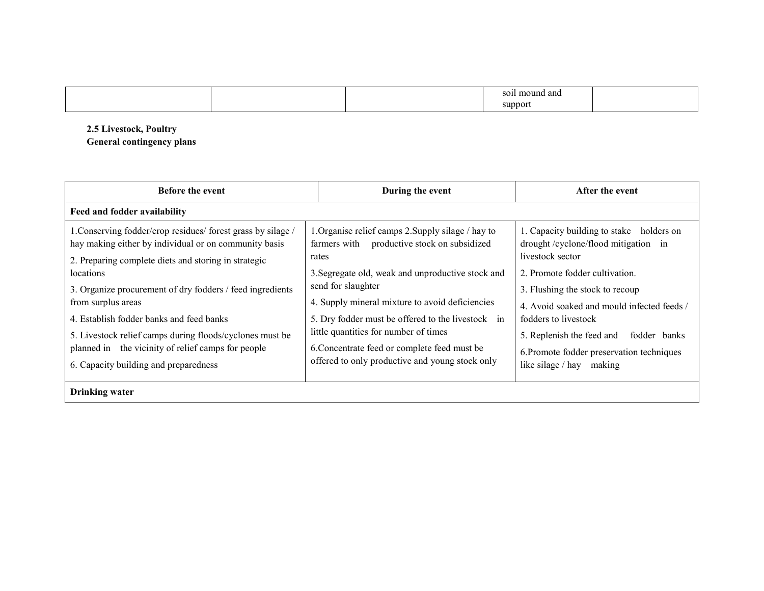|  |  |  |  | ' and<br>ו הי<br>มเทต<br>suppor |  |
|--|--|--|--|---------------------------------|--|
|--|--|--|--|---------------------------------|--|

2.5 Livestock, Poultry General contingency plans

| <b>Before the event</b>                                                                                                                                                       | During the event                                                                                           | After the event                                                                                     |
|-------------------------------------------------------------------------------------------------------------------------------------------------------------------------------|------------------------------------------------------------------------------------------------------------|-----------------------------------------------------------------------------------------------------|
| Feed and fodder availability                                                                                                                                                  |                                                                                                            |                                                                                                     |
| 1. Conserving fodder/crop residues/ forest grass by silage /<br>hay making either by individual or on community basis<br>2. Preparing complete diets and storing in strategic | 1. Organise relief camps 2. Supply silage / hay to<br>farmers with productive stock on subsidized<br>rates | 1. Capacity building to stake holders on<br>drought/cyclone/flood mitigation in<br>livestock sector |
| locations<br>3. Organize procurement of dry fodders / feed ingredients                                                                                                        | 3. Segregate old, weak and unproductive stock and<br>send for slaughter                                    | 2. Promote fodder cultivation.                                                                      |
| from surplus areas                                                                                                                                                            | 4. Supply mineral mixture to avoid deficiencies                                                            | 3. Flushing the stock to recoup<br>4. Avoid soaked and mould infected feeds /                       |
| 4. Establish fodder banks and feed banks<br>5. Livestock relief camps during floods/cyclones must be                                                                          | 5. Dry fodder must be offered to the livestock in<br>little quantities for number of times                 | fodders to livestock<br>5. Replenish the feed and<br>fodder banks                                   |
| planned in the vicinity of relief camps for people<br>6. Capacity building and preparedness                                                                                   | 6. Concentrate feed or complete feed must be<br>offered to only productive and young stock only            | 6. Promote fodder preservation techniques<br>like silage / hay<br>making                            |
| <b>Drinking</b> water                                                                                                                                                         |                                                                                                            |                                                                                                     |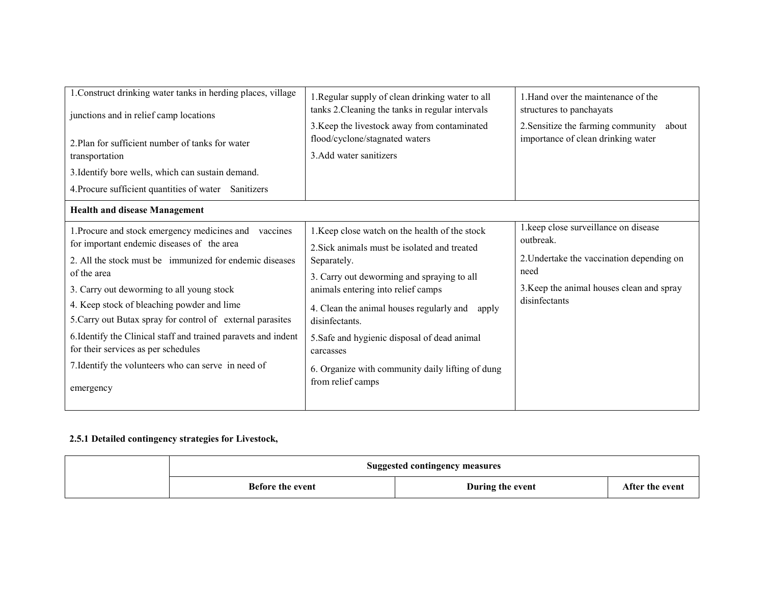| 1. Construct drinking water tanks in herding places, village<br>junctions and in relief camp locations<br>2. Plan for sufficient number of tanks for water<br>transportation<br>3. Identify bore wells, which can sustain demand.<br>4. Procure sufficient quantities of water Sanitizers                                                                                                                                                                                                                              | 1. Regular supply of clean drinking water to all<br>tanks 2. Cleaning the tanks in regular intervals<br>3. Keep the livestock away from contaminated<br>flood/cyclone/stagnated waters<br>3. Add water sanitizers                                                                                                                                                                                              | 1. Hand over the maintenance of the<br>structures to panchayats<br>2. Sensitize the farming community<br>about<br>importance of clean drinking water                  |
|------------------------------------------------------------------------------------------------------------------------------------------------------------------------------------------------------------------------------------------------------------------------------------------------------------------------------------------------------------------------------------------------------------------------------------------------------------------------------------------------------------------------|----------------------------------------------------------------------------------------------------------------------------------------------------------------------------------------------------------------------------------------------------------------------------------------------------------------------------------------------------------------------------------------------------------------|-----------------------------------------------------------------------------------------------------------------------------------------------------------------------|
| <b>Health and disease Management</b>                                                                                                                                                                                                                                                                                                                                                                                                                                                                                   |                                                                                                                                                                                                                                                                                                                                                                                                                |                                                                                                                                                                       |
| 1. Procure and stock emergency medicines and<br>vaccines<br>for important endemic diseases of the area<br>2. All the stock must be immunized for endemic diseases<br>of the area<br>3. Carry out deworming to all young stock<br>4. Keep stock of bleaching powder and lime<br>5. Carry out Butax spray for control of external parasites<br>6. Identify the Clinical staff and trained paravets and indent<br>for their services as per schedules<br>7. Identify the volunteers who can serve in need of<br>emergency | 1. Keep close watch on the health of the stock<br>2. Sick animals must be isolated and treated<br>Separately.<br>3. Carry out deworming and spraying to all<br>animals entering into relief camps<br>4. Clean the animal houses regularly and<br>apply<br>disinfectants.<br>5. Safe and hygienic disposal of dead animal<br>carcasses<br>6. Organize with community daily lifting of dung<br>from relief camps | 1. keep close surveillance on disease<br>outbreak.<br>2. Undertake the vaccination depending on<br>need<br>3. Keep the animal houses clean and spray<br>disinfectants |

## 2.5.1 Detailed contingency strategies for Livestock,

|                         | <b>Suggested contingency measures</b> |                 |
|-------------------------|---------------------------------------|-----------------|
| <b>Before the event</b> | During the event                      | After the event |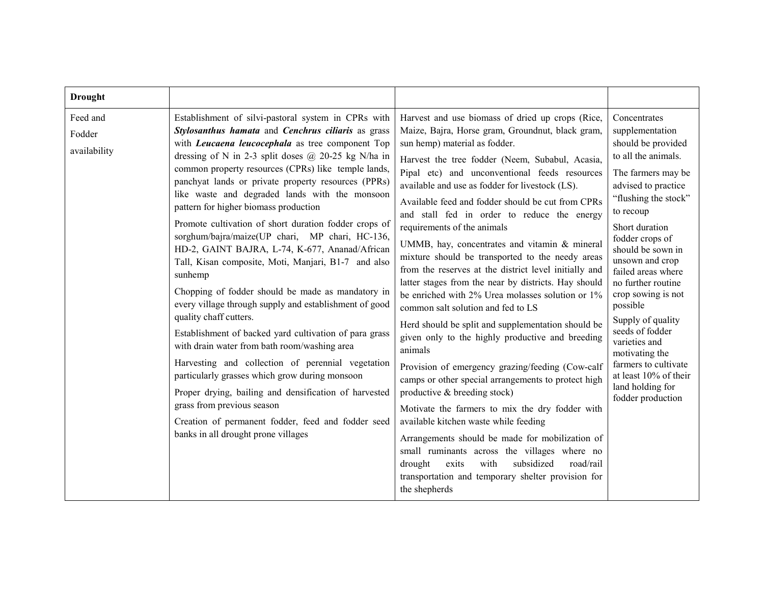| <b>Drought</b>                     |                                                                                                                                                                                                                                                                                                                                                                                                                                                                                                                                                                                                                                                                                                                                                                                                                                                                                                                                                                                                                                                                                                                                                                                                                           |                                                                                                                                                                                                                                                                                                                                                                                                                                                                                                                                                                                                                                                                                                                                                                                                                                                                                                                                                                                                                                                                                                                                                                                                                                                                                                                                              |                                                                                                                                                                                                                                                                                                                                                                                                                                                                                                |
|------------------------------------|---------------------------------------------------------------------------------------------------------------------------------------------------------------------------------------------------------------------------------------------------------------------------------------------------------------------------------------------------------------------------------------------------------------------------------------------------------------------------------------------------------------------------------------------------------------------------------------------------------------------------------------------------------------------------------------------------------------------------------------------------------------------------------------------------------------------------------------------------------------------------------------------------------------------------------------------------------------------------------------------------------------------------------------------------------------------------------------------------------------------------------------------------------------------------------------------------------------------------|----------------------------------------------------------------------------------------------------------------------------------------------------------------------------------------------------------------------------------------------------------------------------------------------------------------------------------------------------------------------------------------------------------------------------------------------------------------------------------------------------------------------------------------------------------------------------------------------------------------------------------------------------------------------------------------------------------------------------------------------------------------------------------------------------------------------------------------------------------------------------------------------------------------------------------------------------------------------------------------------------------------------------------------------------------------------------------------------------------------------------------------------------------------------------------------------------------------------------------------------------------------------------------------------------------------------------------------------|------------------------------------------------------------------------------------------------------------------------------------------------------------------------------------------------------------------------------------------------------------------------------------------------------------------------------------------------------------------------------------------------------------------------------------------------------------------------------------------------|
| Feed and<br>Fodder<br>availability | Establishment of silvi-pastoral system in CPRs with<br>Stylosanthus hamata and Cenchrus ciliaris as grass<br>with <i>Leucaena leucocephala</i> as tree component Top<br>dressing of N in 2-3 split doses $\omega$ 20-25 kg N/ha in<br>common property resources (CPRs) like temple lands,<br>panchyat lands or private property resources (PPRs)<br>like waste and degraded lands with the monsoon<br>pattern for higher biomass production<br>Promote cultivation of short duration fodder crops of<br>sorghum/bajra/maize(UP chari, MP chari, HC-136,<br>HD-2, GAINT BAJRA, L-74, K-677, Ananad/African<br>Tall, Kisan composite, Moti, Manjari, B1-7 and also<br>sunhemp<br>Chopping of fodder should be made as mandatory in<br>every village through supply and establishment of good<br>quality chaff cutters.<br>Establishment of backed yard cultivation of para grass<br>with drain water from bath room/washing area<br>Harvesting and collection of perennial vegetation<br>particularly grasses which grow during monsoon<br>Proper drying, bailing and densification of harvested<br>grass from previous season<br>Creation of permanent fodder, feed and fodder seed<br>banks in all drought prone villages | Harvest and use biomass of dried up crops (Rice,<br>Maize, Bajra, Horse gram, Groundnut, black gram,<br>sun hemp) material as fodder.<br>Harvest the tree fodder (Neem, Subabul, Acasia,<br>Pipal etc) and unconventional feeds resources<br>available and use as fodder for livestock (LS).<br>Available feed and fodder should be cut from CPRs<br>and stall fed in order to reduce the energy<br>requirements of the animals<br>UMMB, hay, concentrates and vitamin & mineral<br>mixture should be transported to the needy areas<br>from the reserves at the district level initially and<br>latter stages from the near by districts. Hay should<br>be enriched with 2% Urea molasses solution or 1%<br>common salt solution and fed to LS<br>Herd should be split and supplementation should be<br>given only to the highly productive and breeding<br>animals<br>Provision of emergency grazing/feeding (Cow-calf<br>camps or other special arrangements to protect high<br>productive & breeding stock)<br>Motivate the farmers to mix the dry fodder with<br>available kitchen waste while feeding<br>Arrangements should be made for mobilization of<br>small ruminants across the villages where no<br>subsidized<br>exits<br>with<br>road/rail<br>drought<br>transportation and temporary shelter provision for<br>the shepherds | Concentrates<br>supplementation<br>should be provided<br>to all the animals.<br>The farmers may be<br>advised to practice<br>"flushing the stock"<br>to recoup<br>Short duration<br>fodder crops of<br>should be sown in<br>unsown and crop<br>failed areas where<br>no further routine<br>crop sowing is not<br>possible<br>Supply of quality<br>seeds of fodder<br>varieties and<br>motivating the<br>farmers to cultivate<br>at least 10% of their<br>land holding for<br>fodder production |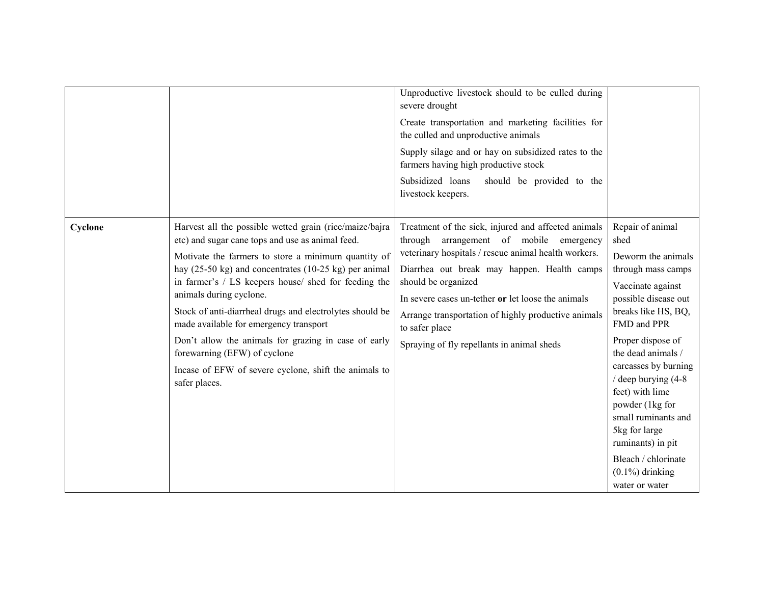|         |                                                                                                                                                                                                                                                 | Unproductive livestock should to be culled during<br>severe drought                                                                                                                                      |                                                                                                                                                                                                                                         |
|---------|-------------------------------------------------------------------------------------------------------------------------------------------------------------------------------------------------------------------------------------------------|----------------------------------------------------------------------------------------------------------------------------------------------------------------------------------------------------------|-----------------------------------------------------------------------------------------------------------------------------------------------------------------------------------------------------------------------------------------|
|         |                                                                                                                                                                                                                                                 | Create transportation and marketing facilities for<br>the culled and unproductive animals                                                                                                                |                                                                                                                                                                                                                                         |
|         |                                                                                                                                                                                                                                                 | Supply silage and or hay on subsidized rates to the<br>farmers having high productive stock                                                                                                              |                                                                                                                                                                                                                                         |
|         |                                                                                                                                                                                                                                                 | Subsidized loans<br>should be provided to the<br>livestock keepers.                                                                                                                                      |                                                                                                                                                                                                                                         |
| Cyclone | Harvest all the possible wetted grain (rice/maize/bajra<br>etc) and sugar cane tops and use as animal feed.<br>Motivate the farmers to store a minimum quantity of<br>hay $(25-50 \text{ kg})$ and concentrates $(10-25 \text{ kg})$ per animal | Treatment of the sick, injured and affected animals<br>through<br>arrangement of mobile emergency<br>veterinary hospitals / rescue animal health workers.<br>Diarrhea out break may happen. Health camps | Repair of animal<br>shed<br>Deworm the animals<br>through mass camps                                                                                                                                                                    |
|         | in farmer's / LS keepers house/ shed for feeding the<br>animals during cyclone.<br>Stock of anti-diarrheal drugs and electrolytes should be<br>made available for emergency transport                                                           | should be organized<br>In severe cases un-tether or let loose the animals<br>Arrange transportation of highly productive animals<br>to safer place                                                       | Vaccinate against<br>possible disease out<br>breaks like HS, BQ,<br>FMD and PPR                                                                                                                                                         |
|         | Don't allow the animals for grazing in case of early<br>forewarning (EFW) of cyclone<br>Incase of EFW of severe cyclone, shift the animals to<br>safer places.                                                                                  | Spraying of fly repellants in animal sheds                                                                                                                                                               | Proper dispose of<br>the dead animals /<br>carcasses by burning<br>/ deep burying (4-8)<br>feet) with lime<br>powder (1kg for<br>small ruminants and<br>5kg for large<br>ruminants) in pit<br>Bleach / chlorinate<br>$(0.1\%)$ drinking |
|         |                                                                                                                                                                                                                                                 |                                                                                                                                                                                                          | water or water                                                                                                                                                                                                                          |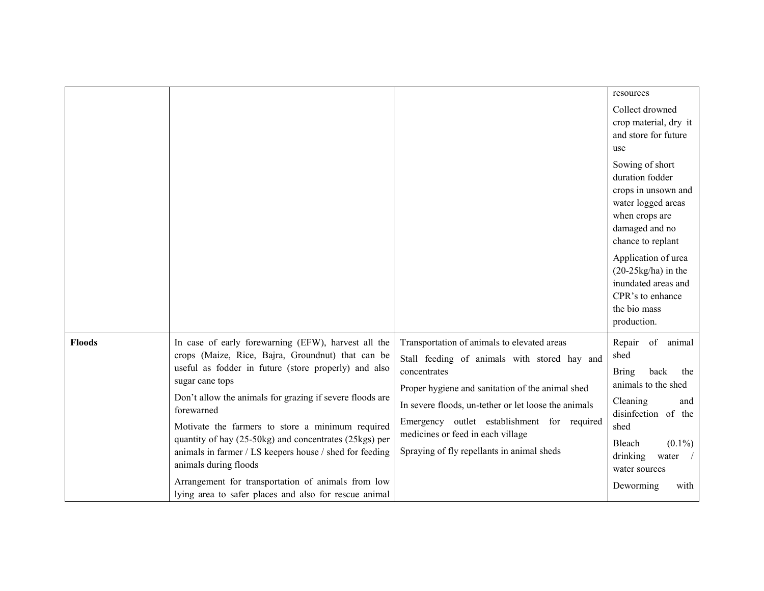|               |                                                                                                                                                                                                                                                                                                                                                                                                                                        |                                                                                                                                                                                                                                                                                                                                                           | resources                                                                                                                                                                                                                                                  |
|---------------|----------------------------------------------------------------------------------------------------------------------------------------------------------------------------------------------------------------------------------------------------------------------------------------------------------------------------------------------------------------------------------------------------------------------------------------|-----------------------------------------------------------------------------------------------------------------------------------------------------------------------------------------------------------------------------------------------------------------------------------------------------------------------------------------------------------|------------------------------------------------------------------------------------------------------------------------------------------------------------------------------------------------------------------------------------------------------------|
|               |                                                                                                                                                                                                                                                                                                                                                                                                                                        |                                                                                                                                                                                                                                                                                                                                                           | Collect drowned<br>crop material, dry it<br>and store for future<br>use                                                                                                                                                                                    |
|               |                                                                                                                                                                                                                                                                                                                                                                                                                                        |                                                                                                                                                                                                                                                                                                                                                           | Sowing of short<br>duration fodder<br>crops in unsown and<br>water logged areas<br>when crops are<br>damaged and no<br>chance to replant<br>Application of urea<br>$(20-25\text{kg/ha})$ in the<br>inundated areas and<br>CPR's to enhance<br>the bio mass |
|               |                                                                                                                                                                                                                                                                                                                                                                                                                                        |                                                                                                                                                                                                                                                                                                                                                           | production.                                                                                                                                                                                                                                                |
| <b>Floods</b> | In case of early forewarning (EFW), harvest all the<br>crops (Maize, Rice, Bajra, Groundnut) that can be<br>useful as fodder in future (store properly) and also<br>sugar cane tops<br>Don't allow the animals for grazing if severe floods are<br>forewarned<br>Motivate the farmers to store a minimum required<br>quantity of hay (25-50kg) and concentrates (25kgs) per<br>animals in farmer / LS keepers house / shed for feeding | Transportation of animals to elevated areas<br>Stall feeding of animals with stored hay and<br>concentrates<br>Proper hygiene and sanitation of the animal shed<br>In severe floods, un-tether or let loose the animals<br>Emergency outlet establishment for required<br>medicines or feed in each village<br>Spraying of fly repellants in animal sheds | Repair<br>of<br>animal<br>shed<br>back<br><b>Bring</b><br>the<br>animals to the shed<br>Cleaning<br>and<br>disinfection of the<br>shed<br>Bleach<br>$(0.1\%)$<br>drinking<br>water                                                                         |
|               | animals during floods<br>Arrangement for transportation of animals from low<br>lying area to safer places and also for rescue animal                                                                                                                                                                                                                                                                                                   |                                                                                                                                                                                                                                                                                                                                                           | water sources<br>Deworming<br>with                                                                                                                                                                                                                         |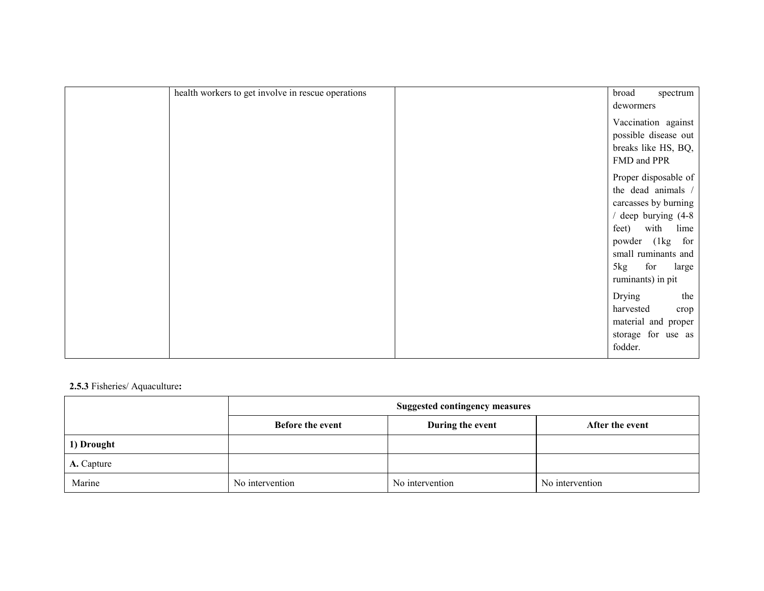| health workers to get involve in rescue operations | broad<br>spectrum<br>dewormers                                                                                                                                                                               |
|----------------------------------------------------|--------------------------------------------------------------------------------------------------------------------------------------------------------------------------------------------------------------|
|                                                    | Vaccination against<br>possible disease out<br>breaks like HS, BQ,<br>FMD and PPR                                                                                                                            |
|                                                    | Proper disposable of<br>the dead animals $/$<br>carcasses by burning<br>deep burying (4-8<br>with<br>lime<br>feet)<br>powder (1kg)<br>for<br>small ruminants and<br>for<br>5kg<br>large<br>ruminants) in pit |
|                                                    | Drying<br>the<br>harvested<br>crop<br>material and proper<br>storage for use as<br>fodder.                                                                                                                   |

## 2.5.3 Fisheries/ Aquaculture:

|                   | <b>Suggested contingency measures</b> |                  |                 |
|-------------------|---------------------------------------|------------------|-----------------|
|                   | <b>Before the event</b>               | During the event | After the event |
| 1) Drought        |                                       |                  |                 |
| <b>A.</b> Capture |                                       |                  |                 |
| Marine            | No intervention                       | No intervention  | No intervention |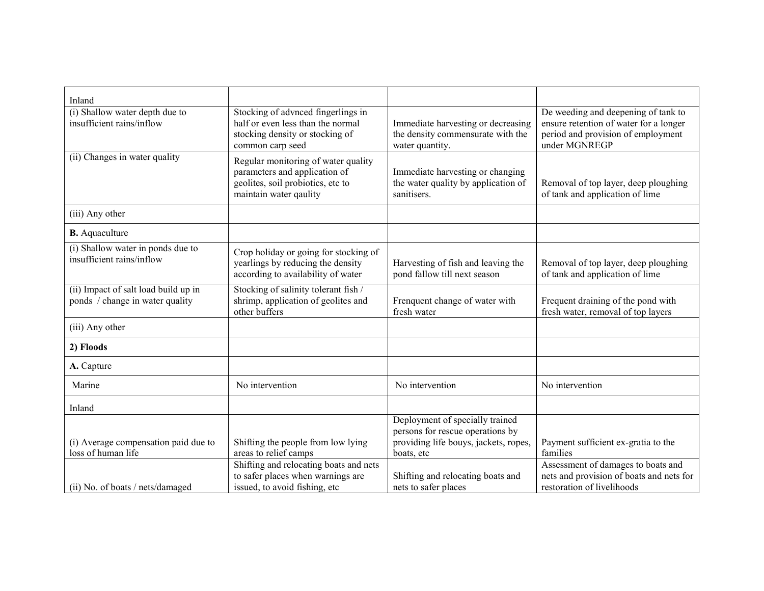| Inland                                                                  |                                                                                                                                     |                                                                                                                            |                                                                                                                                      |
|-------------------------------------------------------------------------|-------------------------------------------------------------------------------------------------------------------------------------|----------------------------------------------------------------------------------------------------------------------------|--------------------------------------------------------------------------------------------------------------------------------------|
| (i) Shallow water depth due to<br>insufficient rains/inflow             | Stocking of advnced fingerlings in<br>half or even less than the normal<br>stocking density or stocking of<br>common carp seed      | Immediate harvesting or decreasing<br>the density commensurate with the<br>water quantity.                                 | De weeding and deepening of tank to<br>ensure retention of water for a longer<br>period and provision of employment<br>under MGNREGP |
| (ii) Changes in water quality                                           | Regular monitoring of water quality<br>parameters and application of<br>geolites, soil probiotics, etc to<br>maintain water qaulity | Immediate harvesting or changing<br>the water quality by application of<br>sanitisers.                                     | Removal of top layer, deep ploughing<br>of tank and application of lime                                                              |
| (iii) Any other                                                         |                                                                                                                                     |                                                                                                                            |                                                                                                                                      |
| <b>B.</b> Aquaculture                                                   |                                                                                                                                     |                                                                                                                            |                                                                                                                                      |
| (i) Shallow water in ponds due to<br>insufficient rains/inflow          | Crop holiday or going for stocking of<br>yearlings by reducing the density<br>according to availability of water                    | Harvesting of fish and leaving the<br>pond fallow till next season                                                         | Removal of top layer, deep ploughing<br>of tank and application of lime                                                              |
| (ii) Impact of salt load build up in<br>ponds / change in water quality | Stocking of salinity tolerant fish /<br>shrimp, application of geolites and<br>other buffers                                        | Frenquent change of water with<br>fresh water                                                                              | Frequent draining of the pond with<br>fresh water, removal of top layers                                                             |
| (iii) Any other                                                         |                                                                                                                                     |                                                                                                                            |                                                                                                                                      |
| 2) Floods                                                               |                                                                                                                                     |                                                                                                                            |                                                                                                                                      |
| A. Capture                                                              |                                                                                                                                     |                                                                                                                            |                                                                                                                                      |
| Marine                                                                  | No intervention                                                                                                                     | No intervention                                                                                                            | No intervention                                                                                                                      |
| Inland                                                                  |                                                                                                                                     |                                                                                                                            |                                                                                                                                      |
| (i) Average compensation paid due to<br>loss of human life              | Shifting the people from low lying<br>areas to relief camps                                                                         | Deployment of specially trained<br>persons for rescue operations by<br>providing life bouys, jackets, ropes,<br>boats, etc | Payment sufficient ex-gratia to the<br>families                                                                                      |
| (ii) No. of boats / nets/damaged                                        | Shifting and relocating boats and nets<br>to safer places when warnings are<br>issued, to avoid fishing, etc                        | Shifting and relocating boats and<br>nets to safer places                                                                  | Assessment of damages to boats and<br>nets and provision of boats and nets for<br>restoration of livelihoods                         |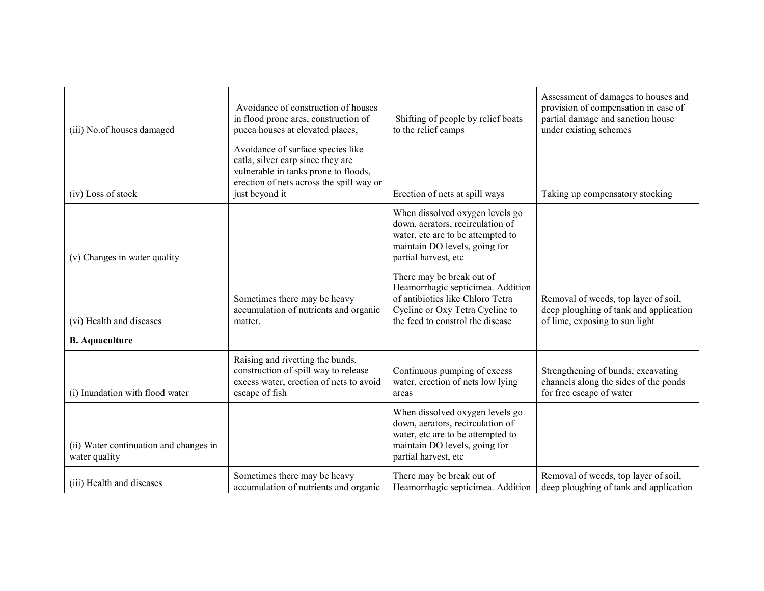| (iii) No.of houses damaged                              | Avoidance of construction of houses<br>in flood prone ares, construction of<br>pucca houses at elevated places,                                                              | Shifting of people by relief boats<br>to the relief camps                                                                                                                 | Assessment of damages to houses and<br>provision of compensation in case of<br>partial damage and sanction house<br>under existing schemes |
|---------------------------------------------------------|------------------------------------------------------------------------------------------------------------------------------------------------------------------------------|---------------------------------------------------------------------------------------------------------------------------------------------------------------------------|--------------------------------------------------------------------------------------------------------------------------------------------|
| (iv) Loss of stock                                      | Avoidance of surface species like<br>catla, silver carp since they are<br>vulnerable in tanks prone to floods,<br>erection of nets across the spill way or<br>just beyond it | Erection of nets at spill ways                                                                                                                                            | Taking up compensatory stocking                                                                                                            |
| (v) Changes in water quality                            |                                                                                                                                                                              | When dissolved oxygen levels go<br>down, aerators, recirculation of<br>water, etc are to be attempted to<br>maintain DO levels, going for<br>partial harvest, etc         |                                                                                                                                            |
| (vi) Health and diseases                                | Sometimes there may be heavy<br>accumulation of nutrients and organic<br>matter.                                                                                             | There may be break out of<br>Heamorrhagic septicimea. Addition<br>of antibiotics like Chloro Tetra<br>Cycline or Oxy Tetra Cycline to<br>the feed to constrol the disease | Removal of weeds, top layer of soil,<br>deep ploughing of tank and application<br>of lime, exposing to sun light                           |
| <b>B.</b> Aquaculture                                   |                                                                                                                                                                              |                                                                                                                                                                           |                                                                                                                                            |
| (i) Inundation with flood water                         | Raising and rivetting the bunds,<br>construction of spill way to release<br>excess water, erection of nets to avoid<br>escape of fish                                        | Continuous pumping of excess<br>water, erection of nets low lying<br>areas                                                                                                | Strengthening of bunds, excavating<br>channels along the sides of the ponds<br>for free escape of water                                    |
| (ii) Water continuation and changes in<br>water quality |                                                                                                                                                                              | When dissolved oxygen levels go<br>down, aerators, recirculation of<br>water, etc are to be attempted to<br>maintain DO levels, going for<br>partial harvest, etc         |                                                                                                                                            |
| (iii) Health and diseases                               | Sometimes there may be heavy<br>accumulation of nutrients and organic                                                                                                        | There may be break out of<br>Heamorrhagic septicimea. Addition                                                                                                            | Removal of weeds, top layer of soil,<br>deep ploughing of tank and application                                                             |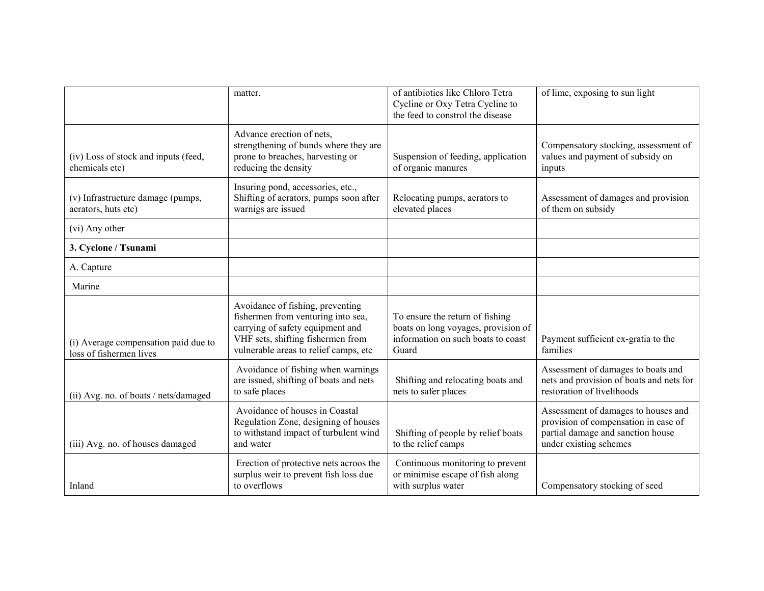|                                                                 | matter.                                                                                                                                                                                  | of antibiotics like Chloro Tetra<br>Cycline or Oxy Tetra Cycline to<br>the feed to constrol the disease               | of lime, exposing to sun light                                                                                                             |
|-----------------------------------------------------------------|------------------------------------------------------------------------------------------------------------------------------------------------------------------------------------------|-----------------------------------------------------------------------------------------------------------------------|--------------------------------------------------------------------------------------------------------------------------------------------|
| (iv) Loss of stock and inputs (feed,<br>chemicals etc)          | Advance erection of nets,<br>strengthening of bunds where they are<br>prone to breaches, harvesting or<br>reducing the density                                                           | Suspension of feeding, application<br>of organic manures                                                              | Compensatory stocking, assessment of<br>values and payment of subsidy on<br>inputs                                                         |
| (v) Infrastructure damage (pumps,<br>aerators, huts etc)        | Insuring pond, accessories, etc.,<br>Shifting of aerators, pumps soon after<br>warnigs are issued                                                                                        | Relocating pumps, aerators to<br>elevated places                                                                      | Assessment of damages and provision<br>of them on subsidy                                                                                  |
| (vi) Any other                                                  |                                                                                                                                                                                          |                                                                                                                       |                                                                                                                                            |
| 3. Cyclone / Tsunami                                            |                                                                                                                                                                                          |                                                                                                                       |                                                                                                                                            |
| A. Capture                                                      |                                                                                                                                                                                          |                                                                                                                       |                                                                                                                                            |
| Marine                                                          |                                                                                                                                                                                          |                                                                                                                       |                                                                                                                                            |
| (i) Average compensation paid due to<br>loss of fishermen lives | Avoidance of fishing, preventing<br>fishermen from venturing into sea,<br>carrying of safety equipment and<br>VHF sets, shifting fishermen from<br>vulnerable areas to relief camps, etc | To ensure the return of fishing<br>boats on long voyages, provision of<br>information on such boats to coast<br>Guard | Payment sufficient ex-gratia to the<br>families                                                                                            |
| (ii) Avg. no. of boats / nets/damaged                           | Avoidance of fishing when warnings<br>are issued, shifting of boats and nets<br>to safe places                                                                                           | Shifting and relocating boats and<br>nets to safer places                                                             | Assessment of damages to boats and<br>nets and provision of boats and nets for<br>restoration of livelihoods                               |
| (iii) Avg. no. of houses damaged                                | Avoidance of houses in Coastal<br>Regulation Zone, designing of houses<br>to withstand impact of turbulent wind<br>and water                                                             | Shifting of people by relief boats<br>to the relief camps                                                             | Assessment of damages to houses and<br>provision of compensation in case of<br>partial damage and sanction house<br>under existing schemes |
| Inland                                                          | Erection of protective nets acroos the<br>surplus weir to prevent fish loss due<br>to overflows                                                                                          | Continuous monitoring to prevent<br>or minimise escape of fish along<br>with surplus water                            | Compensatory stocking of seed                                                                                                              |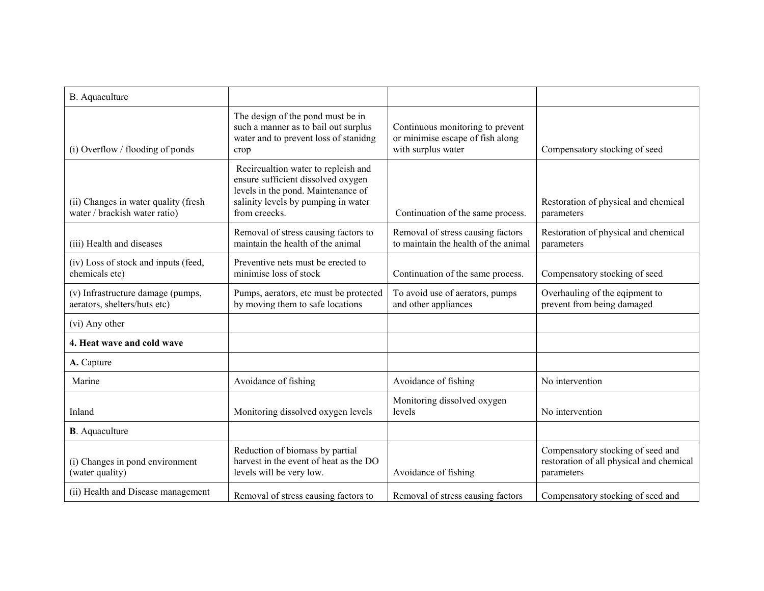| B. Aquaculture                                                        |                                                                                                                                                                         |                                                                                            |                                                                                             |
|-----------------------------------------------------------------------|-------------------------------------------------------------------------------------------------------------------------------------------------------------------------|--------------------------------------------------------------------------------------------|---------------------------------------------------------------------------------------------|
| (i) Overflow / flooding of ponds                                      | The design of the pond must be in<br>such a manner as to bail out surplus<br>water and to prevent loss of stanidng<br>crop                                              | Continuous monitoring to prevent<br>or minimise escape of fish along<br>with surplus water | Compensatory stocking of seed                                                               |
| (ii) Changes in water quality (fresh<br>water / brackish water ratio) | Recircualtion water to repleish and<br>ensure sufficient dissolved oxygen<br>levels in the pond. Maintenance of<br>salinity levels by pumping in water<br>from creecks. | Continuation of the same process.                                                          | Restoration of physical and chemical<br>parameters                                          |
| (iii) Health and diseases                                             | Removal of stress causing factors to<br>maintain the health of the animal                                                                                               | Removal of stress causing factors<br>to maintain the health of the animal                  | Restoration of physical and chemical<br>parameters                                          |
| (iv) Loss of stock and inputs (feed,<br>chemicals etc)                | Preventive nets must be erected to<br>minimise loss of stock                                                                                                            | Continuation of the same process.                                                          | Compensatory stocking of seed                                                               |
| (v) Infrastructure damage (pumps,<br>aerators, shelters/huts etc)     | Pumps, aerators, etc must be protected<br>by moving them to safe locations                                                                                              | To avoid use of aerators, pumps<br>and other appliances                                    | Overhauling of the eqipment to<br>prevent from being damaged                                |
| (vi) Any other                                                        |                                                                                                                                                                         |                                                                                            |                                                                                             |
| 4. Heat wave and cold wave                                            |                                                                                                                                                                         |                                                                                            |                                                                                             |
| A. Capture                                                            |                                                                                                                                                                         |                                                                                            |                                                                                             |
| Marine                                                                | Avoidance of fishing                                                                                                                                                    | Avoidance of fishing                                                                       | No intervention                                                                             |
| Inland                                                                | Monitoring dissolved oxygen levels                                                                                                                                      | Monitoring dissolved oxygen<br>levels                                                      | No intervention                                                                             |
| <b>B</b> . Aquaculture                                                |                                                                                                                                                                         |                                                                                            |                                                                                             |
| (i) Changes in pond environment<br>(water quality)                    | Reduction of biomass by partial<br>harvest in the event of heat as the DO<br>levels will be very low.                                                                   | Avoidance of fishing                                                                       | Compensatory stocking of seed and<br>restoration of all physical and chemical<br>parameters |
| (ii) Health and Disease management                                    | Removal of stress causing factors to                                                                                                                                    | Removal of stress causing factors                                                          | Compensatory stocking of seed and                                                           |